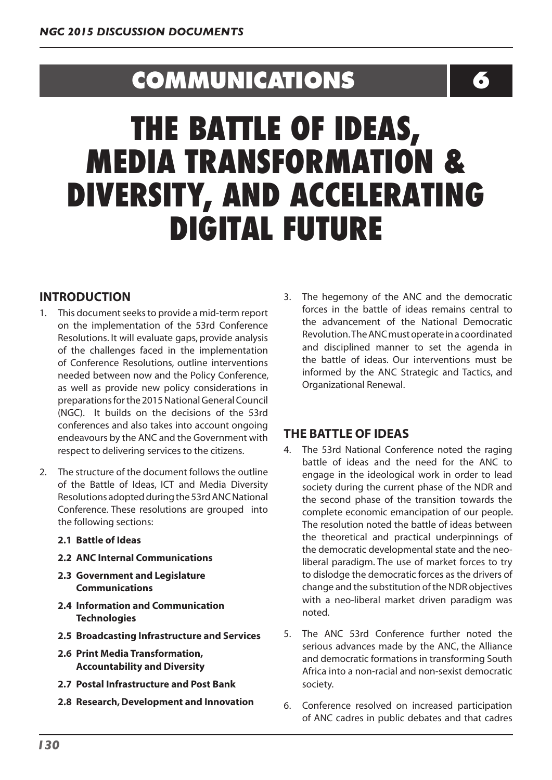## **COMMUNICATIONS 6**

# **THE BATTLE OF IDEAS, MEDIA TRANSFORMATION & DIVERSITY, AND ACCELERATING DIGITAL FUTURE**

## **INTRODUCTION**

- 1. This document seeks to provide a mid-term report on the implementation of the 53rd Conference Resolutions. It will evaluate gaps, provide analysis of the challenges faced in the implementation of Conference Resolutions, outline interventions needed between now and the Policy Conference, as well as provide new policy considerations in preparations for the 2015 National General Council (NGC). It builds on the decisions of the 53rd conferences and also takes into account ongoing endeavours by the ANC and the Government with respect to delivering services to the citizens.
- 2. The structure of the document follows the outline of the Battle of Ideas, ICT and Media Diversity Resolutions adopted during the 53rd ANC National Conference. These resolutions are grouped into the following sections:
	- **2.1 Battle of Ideas**
	- **2.2 ANC Internal Communications**
	- **2.3 Government and Legislature Communications**
	- **2.4 Information and Communication Technologies**
	- **2.5 Broadcasting Infrastructure and Services**
	- **2.6 Print Media Transformation, Accountability and Diversity**
	- **2.7 Postal Infrastructure and Post Bank**
	- **2.8 Research, Development and Innovation**

3. The hegemony of the ANC and the democratic forces in the battle of ideas remains central to the advancement of the National Democratic Revolution. TheANCmustoperateinacoordinated and disciplined manner to set the agenda in the battle of ideas. Our interventions must be informed by the ANC Strategic and Tactics, and Organizational Renewal.

#### **THE BATTLE OF IDEAS**

- 4. The 53rd National Conference noted the raging battle of ideas and the need for the ANC to engage in the ideological work in order to lead society during the current phase of the NDR and the second phase of the transition towards the complete economic emancipation of our people. The resolution noted the battle of ideas between the theoretical and practical underpinnings of the democratic developmental state and the neoliberal paradigm. The use of market forces to try to dislodge the democratic forces as the drivers of change and the substitution of the NDR objectives with a neo-liberal market driven paradigm was noted.
- 5. The ANC 53rd Conference further noted the serious advances made by the ANC, the Alliance and democratic formations in transforming South Africa into a non-racial and non-sexist democratic society.
- 6. Conference resolved on increased participation of ANC cadres in public debates and that cadres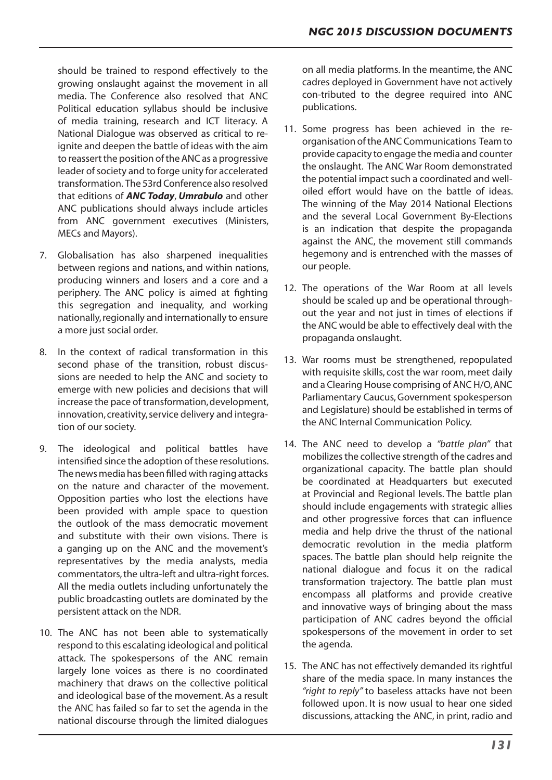should be trained to respond effectively to the growing onslaught against the movement in all media. The Conference also resolved that ANC Political education syllabus should be inclusive of media training, research and ICT literacy. A National Dialogue was observed as critical to reignite and deepen the battle of ideas with the aim to reassert the position of the ANC as a progressive leader of society and to forge unity for accelerated transformation. The 53rdConference also resolved that editions of *ANC Today*, *Umrabulo* and other ANC publications should always include articles from ANC government executives (Ministers, MECs and Mayors).

- 7. Globalisation has also sharpened inequalities between regions and nations, and within nations, producing winners and losers and a core and a periphery. The ANC policy is aimed at fighting this segregation and inequality, and working nationally,regionally and internationally to ensure a more just social order.
- 8. In the context of radical transformation in this second phase of the transition, robust discussions are needed to help the ANC and society to emerge with new policies and decisions that will increase the pace of transformation, development, innovation, creativity, service delivery and integration of our society.
- 9. The ideological and political battles have intensified since the adoption of these resolutions. The news media has been filled with raging attacks on the nature and character of the movement. Opposition parties who lost the elections have been provided with ample space to question the outlook of the mass democratic movement and substitute with their own visions. There is a ganging up on the ANC and the movement's representatives by the media analysts, media commentators,the ultra-left and ultra-right forces. All the media outlets including unfortunately the public broadcasting outlets are dominated by the persistent attack on the NDR.
- 10. The ANC has not been able to systematically respond to this escalating ideological and political attack. The spokespersons of the ANC remain largely lone voices as there is no coordinated machinery that draws on the collective political and ideological base of the movement.As a result the ANC has failed so far to set the agenda in the national discourse through the limited dialogues

on all media platforms. In the meantime, the ANC cadres deployed in Government have not actively con-tributed to the degree required into ANC publications.

- 11. Some progress has been achieved in the reorganisation ofthe ANC Communications Team to provide capacity to engage the media and counter the onslaught. The ANC War Room demonstrated the potential impact such a coordinated and welloiled effort would have on the battle of ideas. The winning of the May 2014 National Elections and the several Local Government By-Elections is an indication that despite the propaganda against the ANC, the movement still commands hegemony and is entrenched with the masses of our people.
- 12. The operations of the War Room at all levels should be scaled up and be operational throughout the year and not just in times of elections if the ANC would be able to effectively deal with the propaganda onslaught.
- 13. War rooms must be strengthened, repopulated with requisite skills, cost the war room, meet daily and a Clearing House comprising of ANC H/O,ANC Parliamentary Caucus,Government spokesperson and Legislature) should be established in terms of the ANC Internal Communication Policy.
- 14. The ANC need to develop a "battle plan" that mobilizes the collective strength of the cadres and organizational capacity. The battle plan should be coordinated at Headquarters but executed at Provincial and Regional levels. The battle plan should include engagements with strategic allies and other progressive forces that can influence media and help drive the thrust of the national democratic revolution in the media platform spaces. The battle plan should help reignite the national dialogue and focus it on the radical transformation trajectory. The battle plan must encompass all platforms and provide creative and innovative ways of bringing about the mass participation of ANC cadres beyond the official spokespersons of the movement in order to set the agenda.
- 15. The ANC has not effectively demanded its rightful share of the media space. In many instances the *"right to reply"* to baseless attacks have not been followed upon. It is now usual to hear one sided discussions, attacking the ANC, in print, radio and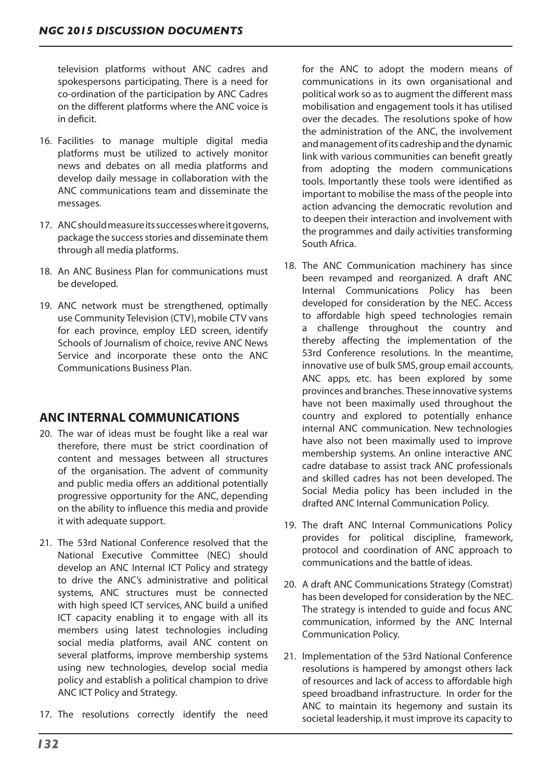television platforms without ANC cadres and spokespersons participating. There is a need for co-ordination of the participation by ANC Cadres on the different platforms where the ANC voice is in deficit.

- 16. Facilities to manage multiple digital media platforms must be utilized to actively monitor news and debates on all media platforms and develop daily message in collaboration with the ANC communications team and disseminate the messages.
- 17. ANC should measure its successes where it governs, package the success stories and disseminate them through all media platforms.
- 18. An ANC Business Plan for communications must be developed.
- 19. ANC network must be strengthened, optimally use Community Television (CTV), mobile CTV vans for each province, employ LED screen, identify Schools of Journalism of choice, revive ANC News Service and incorporate these onto the ANC Communications Business Plan.

## **ANC INTERNAL COMMUNICATIONS**

- 20. The war of ideas must be fought like a real war therefore, there must be strict coordination of content and messages between all structures of the organisation. The advent of community and public media offers an additional potentially progressive opportunity for the ANC, depending on the ability to influence this media and provide it with adequate support.
- 21. The 53rd National Conference resolved that the National Executive Committee (NEC) should develop an ANC Internal ICT Policy and strategy to drive the ANC's administrative and political systems, ANC structures must be connected with high speed ICT services, ANC build a unified ICT capacity enabling it to engage with all its members using latest technologies including social media platforms, avail ANC content on several platforms, improve membership systems using new technologies, develop social media policy and establish a political champion to drive ANC ICT Policy and Strategy.
- 17. The resolutions correctly identify the need

for the ANC to adopt the modern means of communications in its own organisational and political work so as to augment the different mass mobilisation and engagement tools it has utilised over the decades. The resolutions spoke of how the administration of the ANC, the involvement and management of its cadreship and the dynamic link with various communities can benefit greatly from adopting the modern communications tools. Importantly these tools were identified as important to mobilise the mass of the people into action advancing the democratic revolution and to deepen their interaction and involvement with the programmes and daily activities transforming South Africa.

- 18. The ANC Communication machinery has since been revamped and reorganized. A draft ANC Internal Communications Policy has been developed for consideration by the NEC. Access to affordable high speed technologies remain a challenge throughout the country and thereby affecting the implementation of the 53rd Conference resolutions. In the meantime, innovative use of bulk SMS, group email accounts, ANC apps, etc. has been explored by some provinces and branches. These innovative systems have not been maximally used throughout the country and explored to potentially enhance internal ANC communication. New technologies have also not been maximally used to improve membership systems. An online interactive ANC cadre database to assist track ANC professionals and skilled cadres has not been developed. The Social Media policy has been included in the drafted ANC Internal Communication Policy.
- 19. The draft ANC Internal Communications Policy provides for political discipline, framework, protocol and coordination of ANC approach to communications and the battle of ideas.
- 20. A draft ANC Communications Strategy (Comstrat) has been developed for consideration by the NEC. The strategy is intended to guide and focus ANC communication, informed by the ANC Internal Communication Policy.
- 21. Implementation of the 53rd National Conference resolutions is hampered by amongst others lack of resources and lack of access to affordable high speed broadband infrastructure. In order for the ANC to maintain its hegemony and sustain its societal leadership, it must improve its capacity to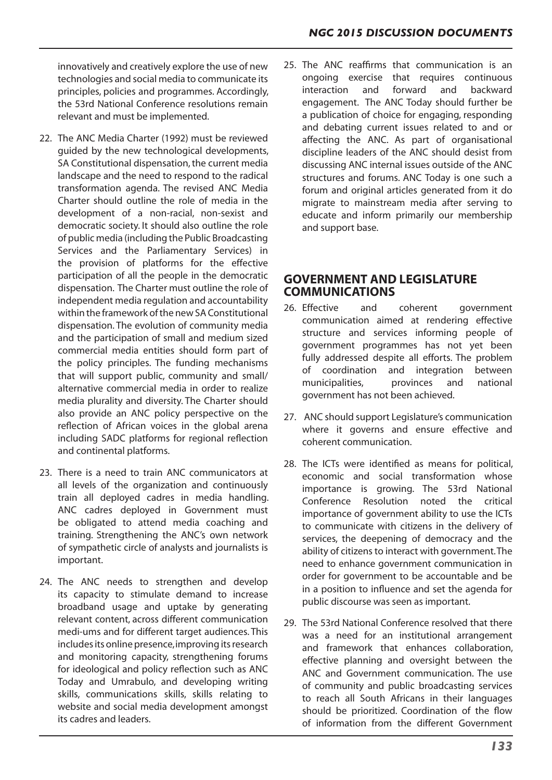innovatively and creatively explore the use of new technologies and social media to communicate its principles, policies and programmes. Accordingly, the 53rd National Conference resolutions remain relevant and must be implemented.

- 22. The ANC Media Charter (1992) must be reviewed guided by the new technological developments, SA Constitutional dispensation, the current media landscape and the need to respond to the radical transformation agenda. The revised ANC Media Charter should outline the role of media in the development of a non-racial, non-sexist and democratic society. It should also outline the role of public media (including the Public Broadcasting Services and the Parliamentary Services) in the provision of platforms for the effective participation of all the people in the democratic dispensation. The Charter must outline the role of independent media regulation and accountability within the framework of the new SA Constitutional dispensation. The evolution of community media and the participation of small and medium sized commercial media entities should form part of the policy principles. The funding mechanisms that will support public, community and small/ alternative commercial media in order to realize media plurality and diversity. The Charter should also provide an ANC policy perspective on the reflection of African voices in the global arena including SADC platforms for regional reflection and continental platforms.
- 23. There is a need to train ANC communicators at all levels of the organization and continuously train all deployed cadres in media handling. ANC cadres deployed in Government must be obligated to attend media coaching and training. Strengthening the ANC's own network of sympathetic circle of analysts and journalists is important.
- 24. The ANC needs to strengthen and develop its capacity to stimulate demand to increase broadband usage and uptake by generating relevant content, across different communication medi-ums and for different target audiences. This includes its online presence, improving its research and monitoring capacity, strengthening forums for ideological and policy reflection such as ANC Today and Umrabulo, and developing writing skills, communications skills, skills relating to website and social media development amongst its cadres and leaders.

25. The ANC reaffirms that communication is an ongoing exercise that requires continuous interaction and forward and backward engagement. The ANC Today should further be a publication of choice for engaging, responding and debating current issues related to and or affecting the ANC. As part of organisational discipline leaders of the ANC should desist from discussing ANC internal issues outside of the ANC structures and forums. ANC Today is one such a forum and original articles generated from it do migrate to mainstream media after serving to educate and inform primarily our membership and support base.

#### **GOVERNMENT AND LEGISLATURE COMMUNICATIONS**

- 26. Effective and coherent government communication aimed at rendering effective structure and services informing people of government programmes has not yet been fully addressed despite all efforts. The problem of coordination and integration between municipalities, provinces and national government has not been achieved.
- 27. ANC should support Legislature's communication where it governs and ensure effective and coherent communication.
- 28. The ICTs were identified as means for political, economic and social transformation whose importance is growing. The 53rd National Conference Resolution noted the critical importance of government ability to use the ICTs to communicate with citizens in the delivery of services, the deepening of democracy and the ability of citizens to interact with government. The need to enhance government communication in order for government to be accountable and be in a position to influence and set the agenda for public discourse was seen as important.
- 29. The 53rd National Conference resolved that there was a need for an institutional arrangement and framework that enhances collaboration, effective planning and oversight between the ANC and Government communication. The use of community and public broadcasting services to reach all South Africans in their languages should be prioritized. Coordination of the flow of information from the different Government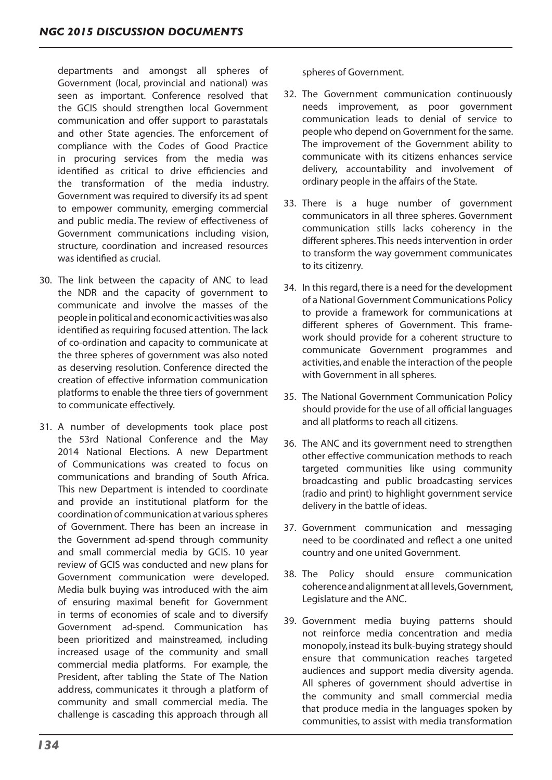departments and amongst all spheres of Government (local, provincial and national) was seen as important. Conference resolved that the GCIS should strengthen local Government communication and offer support to parastatals and other State agencies. The enforcement of compliance with the Codes of Good Practice in procuring services from the media was identified as critical to drive efficiencies and the transformation of the media industry. Government was required to diversify its ad spent to empower community, emerging commercial and public media. The review of effectiveness of Government communications including vision, structure, coordination and increased resources was identified as crucial.

- 30. The link between the capacity of ANC to lead the NDR and the capacity of government to communicate and involve the masses of the people inpolitical andeconomic activitieswas also identified as requiring focused attention. The lack of co-ordination and capacity to communicate at the three spheres of government was also noted as deserving resolution. Conference directed the creation of effective information communication platforms to enable the three tiers of government to communicate effectively.
- 31. A number of developments took place post the 53rd National Conference and the May 2014 National Elections. A new Department of Communications was created to focus on communications and branding of South Africa. This new Department is intended to coordinate and provide an institutional platform for the coordination of communication at variousspheres of Government. There has been an increase in the Government ad-spend through community and small commercial media by GCIS. 10 year review of GCIS was conducted and new plans for Government communication were developed. Media bulk buying was introduced with the aim of ensuring maximal benefit for Government in terms of economies of scale and to diversify Government ad-spend. Communication has been prioritized and mainstreamed, including increased usage of the community and small commercial media platforms. For example, the President, after tabling the State of The Nation address, communicates it through a platform of community and small commercial media. The challenge is cascading this approach through all

spheres of Government.

- 32. The Government communication continuously needs improvement, as poor government communication leads to denial of service to people who depend on Government for the same. The improvement of the Government ability to communicate with its citizens enhances service delivery, accountability and involvement of ordinary people in the affairs of the State.
- 33. There is a huge number of government communicators in all three spheres. Government communication stills lacks coherency in the different spheres.This needs intervention in order to transform the way government communicates to its citizenry.
- 34. In this regard, there is a need for the development of a National Government Communications Policy to provide a framework for communications at different spheres of Government. This framework should provide for a coherent structure to communicate Government programmes and activities,and enable the interaction of the people with Government in all spheres.
- 35. The National Government Communication Policy should provide for the use of all official languages and all platforms to reach all citizens.
- 36. The ANC and its government need to strengthen other effective communication methods to reach targeted communities like using community broadcasting and public broadcasting services (radio and print) to highlight government service delivery in the battle of ideas.
- 37. Government communication and messaging need to be coordinated and reflect a one united country and one united Government.
- 38. The Policy should ensure communication coherence andalignment at all levels,Government, Legislature and the ANC.
- 39. Government media buying patterns should not reinforce media concentration and media monopoly,instead its bulk-buying strategy should ensure that communication reaches targeted audiences and support media diversity agenda. All spheres of government should advertise in the community and small commercial media that produce media in the languages spoken by communities, to assist with media transformation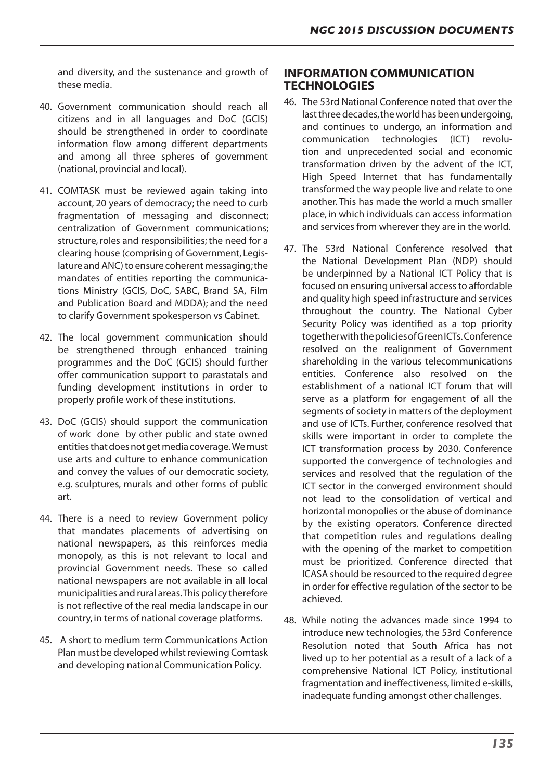and diversity, and the sustenance and growth of these media.

- 40. Government communication should reach all citizens and in all languages and DoC (GCIS) should be strengthened in order to coordinate information flow among different departments and among all three spheres of government (national, provincial and local).
- 41. COMTASK must be reviewed again taking into account, 20 years of democracy; the need to curb fragmentation of messaging and disconnect; centralization of Government communications; structure, roles and responsibilities; the need for a clearing house (comprising of Government, Legislature and ANC) to ensure coherent messaging; the mandates of entities reporting the communications Ministry (GCIS, DoC, SABC, Brand SA, Film and Publication Board and MDDA); and the need to clarify Government spokesperson vs Cabinet.
- 42. The local government communication should be strengthened through enhanced training programmes and the DoC (GCIS) should further offer communication support to parastatals and funding development institutions in order to properly profile work of these institutions.
- 43. DoC (GCIS) should support the communication of work done by other public and state owned entities that does not get media coverage. We must use arts and culture to enhance communication and convey the values of our democratic society, e.g. sculptures, murals and other forms of public art.
- 44. There is a need to review Government policy that mandates placements of advertising on national newspapers, as this reinforces media monopoly, as this is not relevant to local and provincial Government needs. These so called national newspapers are not available in all local municipalities and rural areas.This policy therefore is not reflective of the real media landscape in our country, in terms of national coverage platforms.
- 45. A short to medium term Communications Action Plan must be developed whilst reviewing Comtask and developing national Communication Policy.

#### **INFORMATION COMMUNICATION TECHNOLOGIES**

- 46. The 53rd National Conference noted that over the last three decades, the world has been undergoing, and continues to undergo, an information and communication technologies (ICT) revolution and unprecedented social and economic transformation driven by the advent of the ICT, High Speed Internet that has fundamentally transformed the way people live and relate to one another. This has made the world a much smaller place, in which individuals can access information and services from wherever they are in the world.
- 47. The 53rd National Conference resolved that the National Development Plan (NDP) should be underpinned by a National ICT Policy that is focused on ensuring universal accessto affordable and quality high speed infrastructure and services throughout the country. The National Cyber Security Policy was identified as a top priority togetherwiththepoliciesofGreenICTs. Conference resolved on the realignment of Government shareholding in the various telecommunications entities. Conference also resolved on the establishment of a national ICT forum that will serve as a platform for engagement of all the segments of society in matters of the deployment and use of ICTs. Further, conference resolved that skills were important in order to complete the ICT transformation process by 2030. Conference supported the convergence of technologies and services and resolved that the regulation of the ICT sector in the converged environment should not lead to the consolidation of vertical and horizontal monopolies or the abuse of dominance by the existing operators. Conference directed that competition rules and regulations dealing with the opening of the market to competition must be prioritized. Conference directed that ICASA should be resourced to the required degree in order for effective regulation of the sector to be achieved.
- 48. While noting the advances made since 1994 to introduce new technologies, the 53rd Conference Resolution noted that South Africa has not lived up to her potential as a result of a lack of a comprehensive National ICT Policy, institutional fragmentation and ineffectiveness, limited e-skills, inadequate funding amongst other challenges.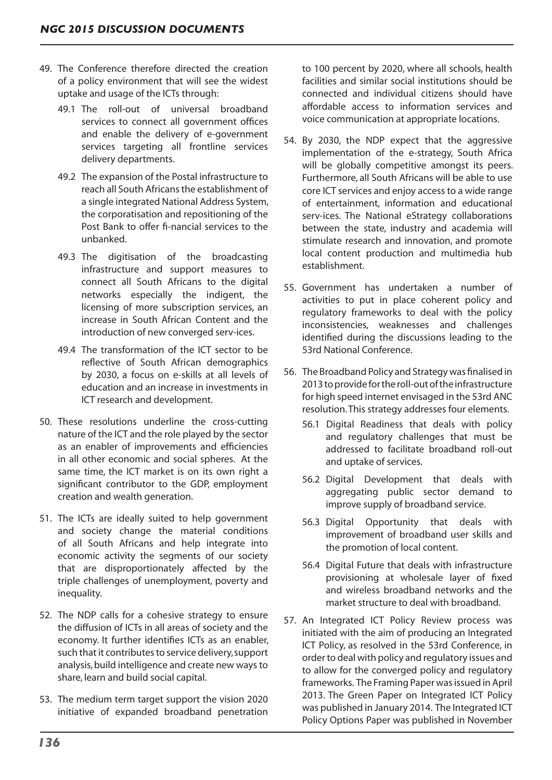- 49. The Conference therefore directed the creation of a policy environment that will see the widest uptake and usage of the ICTs through:
	- 49.1 The roll-out of universal broadband services to connect all government offices and enable the delivery of e-government services targeting all frontline services delivery departments.
	- 49.2 The expansion of the Postal infrastructure to reach all South Africansthe establishment of a single integrated National Address System, the corporatisation and repositioning of the Post Bank to offer fi-nancial services to the unbanked.
	- 49.3 The digitisation of the broadcasting infrastructure and support measures to connect all South Africans to the digital networks especially the indigent, the licensing of more subscription services, an increase in South African Content and the introduction of new converged serv-ices.
	- 49.4 The transformation of the ICT sector to be reflective of South African demographics by 2030, a focus on e-skills at all levels of education and an increase in investments in ICT research and development.
- 50. These resolutions underline the cross-cutting nature of the ICT and the role played by the sector as an enabler of improvements and efficiencies in all other economic and social spheres. At the same time, the ICT market is on its own right a significant contributor to the GDP, employment creation and wealth generation.
- 51. The ICTs are ideally suited to help government and society change the material conditions of all South Africans and help integrate into economic activity the segments of our society that are disproportionately affected by the triple challenges of unemployment, poverty and inequality.
- 52. The NDP calls for a cohesive strategy to ensure the diffusion of ICTs in all areas of society and the economy. It further identifies ICTs as an enabler, such that it contributes to service delivery, support analysis,build intelligence and create new waysto share, learn and build social capital.
- 53. The medium term target support the vision 2020 initiative of expanded broadband penetration

to 100 percent by 2020, where all schools, health facilities and similar social institutions should be connected and individual citizens should have affordable access to information services and voice communication at appropriate locations.

- 54. By 2030, the NDP expect that the aggressive implementation of the e-strategy, South Africa will be globally competitive amongst its peers. Furthermore, all South Africans will be able to use core ICT services and enjoy access to a wide range of entertainment, information and educational serv-ices. The National eStrategy collaborations between the state, industry and academia will stimulate research and innovation, and promote local content production and multimedia hub establishment.
- 55. Government has undertaken a number of activities to put in place coherent policy and regulatory frameworks to deal with the policy inconsistencies, weaknesses and challenges identified during the discussions leading to the 53rd National Conference.
- 56. The Broadband Policy and Strategy was finalised in 2013 to provide for the roll-out of the infrastructure for high speed internet envisaged in the 53rd ANC resolution.This strategy addresses four elements.
	- 56.1 Digital Readiness that deals with policy and regulatory challenges that must be addressed to facilitate broadband roll-out and uptake of services.
	- 56.2 Digital Development that deals with aggregating public sector demand to improve supply of broadband service.
	- 56.3 Digital Opportunity that deals with improvement of broadband user skills and the promotion of local content.
	- 56.4 Digital Future that deals with infrastructure provisioning at wholesale layer of fixed and wireless broadband networks and the market structure to deal with broadband.
- 57. An Integrated ICT Policy Review process was initiated with the aim of producing an Integrated ICT Policy, as resolved in the 53rd Conference, in orderto deal with policy and regulatory issues and to allow for the converged policy and regulatory frameworks. The Framing Paper was issued in April 2013. The Green Paper on Integrated ICT Policy was published in January 2014. The Integrated ICT Policy Options Paper was published in November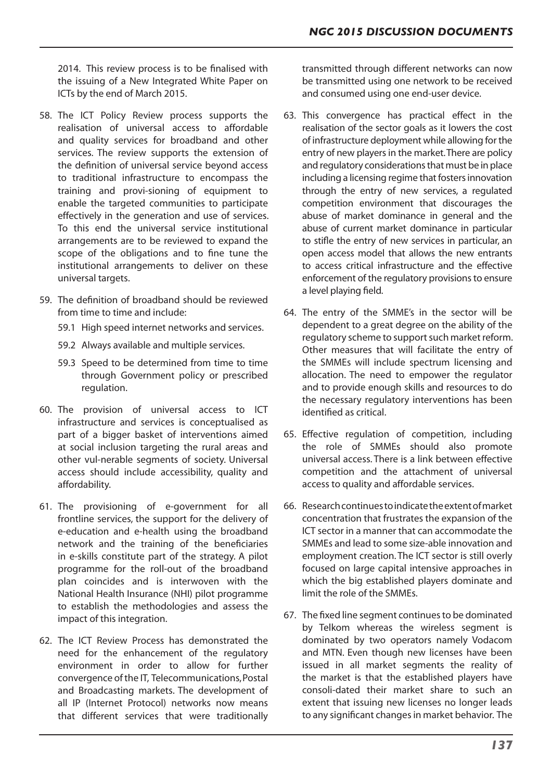2014. This review process is to be finalised with the issuing of a New Integrated White Paper on ICTs by the end of March 2015.

- 58. The ICT Policy Review process supports the realisation of universal access to affordable and quality services for broadband and other services. The review supports the extension of the definition of universal service beyond access to traditional infrastructure to encompass the training and provi-sioning of equipment to enable the targeted communities to participate effectively in the generation and use of services. To this end the universal service institutional arrangements are to be reviewed to expand the scope of the obligations and to fine tune the institutional arrangements to deliver on these universal targets.
- 59. The definition of broadband should be reviewed from time to time and include:
	- 59.1 High speed internet networks and services.
	- 59.2 Always available and multiple services.
	- 59.3 Speed to be determined from time to time through Government policy or prescribed regulation.
- 60. The provision of universal access to ICT infrastructure and services is conceptualised as part of a bigger basket of interventions aimed at social inclusion targeting the rural areas and other vul-nerable segments of society. Universal access should include accessibility, quality and affordability.
- 61. The provisioning of e-government for all frontline services, the support for the delivery of e-education and e-health using the broadband network and the training of the beneficiaries in e-skills constitute part of the strategy. A pilot programme for the roll-out of the broadband plan coincides and is interwoven with the National Health Insurance (NHI) pilot programme to establish the methodologies and assess the impact of this integration.
- 62. The ICT Review Process has demonstrated the need for the enhancement of the regulatory environment in order to allow for further convergence ofthe IT, Telecommunications,Postal and Broadcasting markets. The development of all IP (Internet Protocol) networks now means that different services that were traditionally

transmitted through different networks can now be transmitted using one network to be received and consumed using one end-user device.

- 63. This convergence has practical effect in the realisation of the sector goals as it lowers the cost of infrastructure deployment while allowing for the entry of new players in the market. There are policy and regulatory considerations that must be in place including a licensing regime that fosters innovation through the entry of new services, a regulated competition environment that discourages the abuse of market dominance in general and the abuse of current market dominance in particular to stifle the entry of new services in particular, an open access model that allows the new entrants to access critical infrastructure and the effective enforcement of the regulatory provisions to ensure a level playing field.
- 64. The entry of the SMME's in the sector will be dependent to a great degree on the ability of the regulatory scheme to support such market reform. Other measures that will facilitate the entry of the SMMEs will include spectrum licensing and allocation. The need to empower the regulator and to provide enough skills and resources to do the necessary regulatory interventions has been identified as critical.
- 65. Effective regulation of competition, including the role of SMMEs should also promote universal access. There is a link between effective competition and the attachment of universal access to quality and affordable services.
- 66. Research continues to indicate the extent of market concentration that frustrates the expansion of the ICT sector in a manner that can accommodate the SMMEs and lead to some size-able innovation and employment creation. The ICT sector is still overly focused on large capital intensive approaches in which the big established players dominate and limit the role of the SMMEs.
- 67. The fixed line segment continuesto be dominated by Telkom whereas the wireless segment is dominated by two operators namely Vodacom and MTN. Even though new licenses have been issued in all market segments the reality of the market is that the established players have consoli-dated their market share to such an extent that issuing new licenses no longer leads to any significant changes in market behavior. The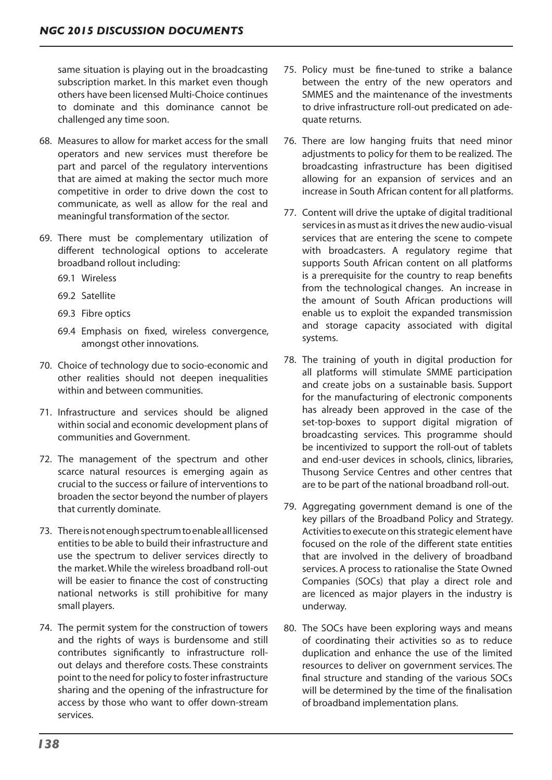same situation is playing out in the broadcasting subscription market. In this market even though others have been licensed Multi-Choice continues to dominate and this dominance cannot be challenged any time soon.

- 68. Measures to allow for market access for the small operators and new services must therefore be part and parcel of the regulatory interventions that are aimed at making the sector much more competitive in order to drive down the cost to communicate, as well as allow for the real and meaningful transformation of the sector.
- 69. There must be complementary utilization of different technological options to accelerate broadband rollout including:
	- 69.1 Wireless
	- 69.2 Satellite
	- 69.3 Fibre optics
	- 69.4 Emphasis on fixed, wireless convergence, amongst other innovations.
- 70. Choice of technology due to socio-economic and other realities should not deepen inequalities within and between communities.
- 71. Infrastructure and services should be aligned within social and economic development plans of communities and Government.
- 72. The management of the spectrum and other scarce natural resources is emerging again as crucial to the success or failure of interventions to broaden the sector beyond the number of players that currently dominate.
- 73. There is not enough spectrum to enable all licensed entities to be able to build their infrastructure and use the spectrum to deliver services directly to the market.While the wireless broadband roll-out will be easier to finance the cost of constructing national networks is still prohibitive for many small players.
- 74. The permit system for the construction of towers and the rights of ways is burdensome and still contributes significantly to infrastructure rollout delays and therefore costs. These constraints point to the need for policy to foster infrastructure sharing and the opening of the infrastructure for access by those who want to offer down-stream services.
- 75. Policy must be fine-tuned to strike a balance between the entry of the new operators and SMMES and the maintenance of the investments to drive infrastructure roll-out predicated on adequate returns.
- 76. There are low hanging fruits that need minor adjustments to policy for them to be realized. The broadcasting infrastructure has been digitised allowing for an expansion of services and an increase in South African content for all platforms.
- 77. Content will drive the uptake of digital traditional services in as must as it drives the new audio-visual services that are entering the scene to compete with broadcasters. A regulatory regime that supports South African content on all platforms is a prerequisite for the country to reap benefits from the technological changes. An increase in the amount of South African productions will enable us to exploit the expanded transmission and storage capacity associated with digital systems.
- 78. The training of youth in digital production for all platforms will stimulate SMME participation and create jobs on a sustainable basis. Support for the manufacturing of electronic components has already been approved in the case of the set-top-boxes to support digital migration of broadcasting services. This programme should be incentivized to support the roll-out of tablets and end-user devices in schools, clinics, libraries, Thusong Service Centres and other centres that are to be part of the national broadband roll-out.
- 79. Aggregating government demand is one of the key pillars of the Broadband Policy and Strategy. Activities to execute on this strategic element have focused on the role of the different state entities that are involved in the delivery of broadband services. A process to rationalise the State Owned Companies (SOCs) that play a direct role and are licenced as major players in the industry is underway.
- 80. The SOCs have been exploring ways and means of coordinating their activities so as to reduce duplication and enhance the use of the limited resources to deliver on government services. The final structure and standing of the various SOCs will be determined by the time of the finalisation of broadband implementation plans.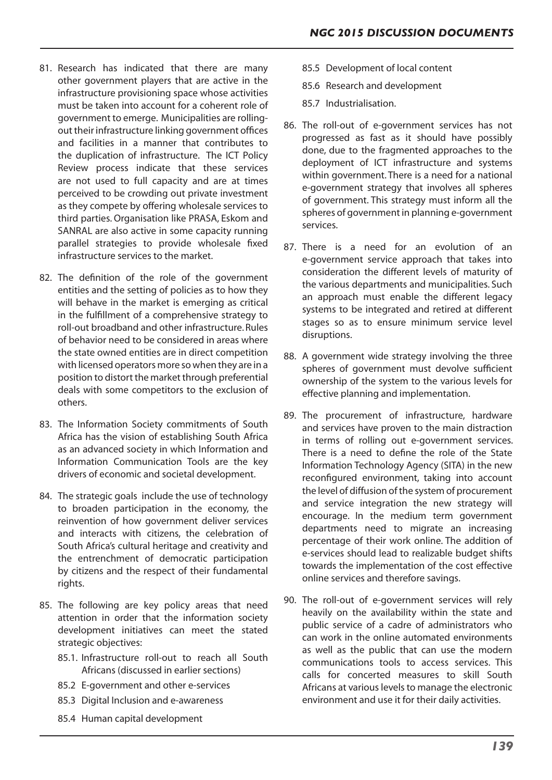- 81. Research has indicated that there are many other government players that are active in the infrastructure provisioning space whose activities must be taken into account for a coherent role of government to emerge. Municipalities are rollingout their infrastructure linking government offices and facilities in a manner that contributes to the duplication of infrastructure. The ICT Policy Review process indicate that these services are not used to full capacity and are at times perceived to be crowding out private investment as they compete by offering wholesale services to third parties. Organisation like PRASA, Eskom and SANRAL are also active in some capacity running parallel strategies to provide wholesale fixed infrastructure services to the market.
- 82. The definition of the role of the government entities and the setting of policies as to how they will behave in the market is emerging as critical in the fulfillment of a comprehensive strategy to roll-out broadband and other infrastructure.Rules of behavior need to be considered in areas where the state owned entities are in direct competition with licensed operators more so when they are in a position to distort the market through preferential deals with some competitors to the exclusion of others.
- 83. The Information Society commitments of South Africa has the vision of establishing South Africa as an advanced society in which Information and Information Communication Tools are the key drivers of economic and societal development.
- 84. The strategic goals include the use of technology to broaden participation in the economy, the reinvention of how government deliver services and interacts with citizens, the celebration of South Africa's cultural heritage and creativity and the entrenchment of democratic participation by citizens and the respect of their fundamental rights.
- 85. The following are key policy areas that need attention in order that the information society development initiatives can meet the stated strategic objectives:
	- 85.1. Infrastructure roll-out to reach all South Africans (discussed in earlier sections)
	- 85.2 E-government and other e-services
	- 85.3 Digital Inclusion and e-awareness
	- 85.4 Human capital development
- 85.5 Development of local content
- 85.6 Research and development
- 85.7 Industrialisation.
- 86. The roll-out of e-government services has not progressed as fast as it should have possibly done, due to the fragmented approaches to the deployment of ICT infrastructure and systems within government. There is a need for a national e-government strategy that involves all spheres of government. This strategy must inform all the spheres of government in planning e-government services.
- 87. There is a need for an evolution of an e-government service approach that takes into consideration the different levels of maturity of the various departments and municipalities. Such an approach must enable the different legacy systems to be integrated and retired at different stages so as to ensure minimum service level disruptions.
- 88. A government wide strategy involving the three spheres of government must devolve sufficient ownership of the system to the various levels for effective planning and implementation.
- 89. The procurement of infrastructure, hardware and services have proven to the main distraction in terms of rolling out e-government services. There is a need to define the role of the State Information Technology Agency (SITA) in the new reconfigured environment, taking into account the level of diffusion of the system of procurement and service integration the new strategy will encourage. In the medium term government departments need to migrate an increasing percentage of their work online. The addition of e-services should lead to realizable budget shifts towards the implementation of the cost effective online services and therefore savings.
- 90. The roll-out of e-government services will rely heavily on the availability within the state and public service of a cadre of administrators who can work in the online automated environments as well as the public that can use the modern communications tools to access services. This calls for concerted measures to skill South Africans at various levels to manage the electronic environment and use it for their daily activities.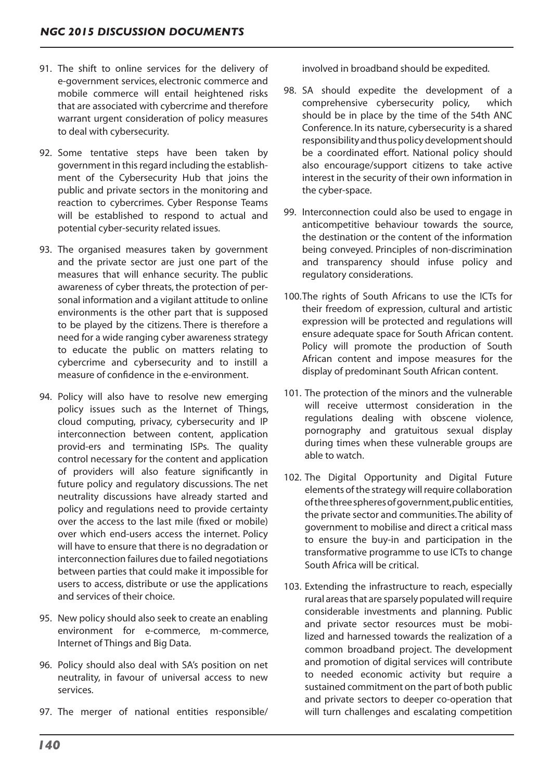- 91. The shift to online services for the delivery of e-government services, electronic commerce and mobile commerce will entail heightened risks that are associated with cybercrime and therefore warrant urgent consideration of policy measures to deal with cybersecurity.
- 92. Some tentative steps have been taken by government in thisregard including the establishment of the Cybersecurity Hub that joins the public and private sectors in the monitoring and reaction to cybercrimes. Cyber Response Teams will be established to respond to actual and potential cyber-security related issues.
- 93. The organised measures taken by government and the private sector are just one part of the measures that will enhance security. The public awareness of cyber threats, the protection of personal information and a vigilant attitude to online environments is the other part that is supposed to be played by the citizens. There is therefore a need for a wide ranging cyber awareness strategy to educate the public on matters relating to cybercrime and cybersecurity and to instill a measure of confidence in the e-environment.
- 94. Policy will also have to resolve new emerging policy issues such as the Internet of Things, cloud computing, privacy, cybersecurity and IP interconnection between content, application provid-ers and terminating ISPs. The quality control necessary for the content and application of providers will also feature significantly in future policy and regulatory discussions. The net neutrality discussions have already started and policy and regulations need to provide certainty over the access to the last mile (fixed or mobile) over which end-users access the internet. Policy will have to ensure that there is no degradation or interconnection failures due to failed negotiations between parties that could make it impossible for users to access, distribute or use the applications and services of their choice.
- 95. New policy should also seek to create an enabling environment for e-commerce, m-commerce, Internet of Things and Big Data.
- 96. Policy should also deal with SA's position on net neutrality, in favour of universal access to new services.
- 97. The merger of national entities responsible/

involved in broadband should be expedited.

- 98. SA should expedite the development of a comprehensive cybersecurity policy, which should be in place by the time of the 54th ANC Conference. In its nature, cybersecurity is a shared responsibility and thus policy development should be a coordinated effort. National policy should also encourage/support citizens to take active interest in the security of their own information in the cyber-space.
- 99. Interconnection could also be used to engage in anticompetitive behaviour towards the source, the destination or the content of the information being conveyed. Principles of non-discrimination and transparency should infuse policy and regulatory considerations.
- 100. The rights of South Africans to use the ICTs for their freedom of expression, cultural and artistic expression will be protected and regulations will ensure adequate space for South African content. Policy will promote the production of South African content and impose measures for the display of predominant South African content.
- 101. The protection of the minors and the vulnerable will receive uttermost consideration in the regulations dealing with obscene violence, pornography and gratuitous sexual display during times when these vulnerable groups are able to watch.
- 102. The Digital Opportunity and Digital Future elements of the strategy will require collaboration ofthethreespheresofgovernment,publicentities, the private sector and communities.The ability of government to mobilise and direct a critical mass to ensure the buy-in and participation in the transformative programme to use ICTs to change South Africa will be critical.
- 103. Extending the infrastructure to reach, especially rural areas that are sparsely populated will require considerable investments and planning. Public and private sector resources must be mobilized and harnessed towards the realization of a common broadband project. The development and promotion of digital services will contribute to needed economic activity but require a sustained commitment on the part of both public and private sectors to deeper co-operation that will turn challenges and escalating competition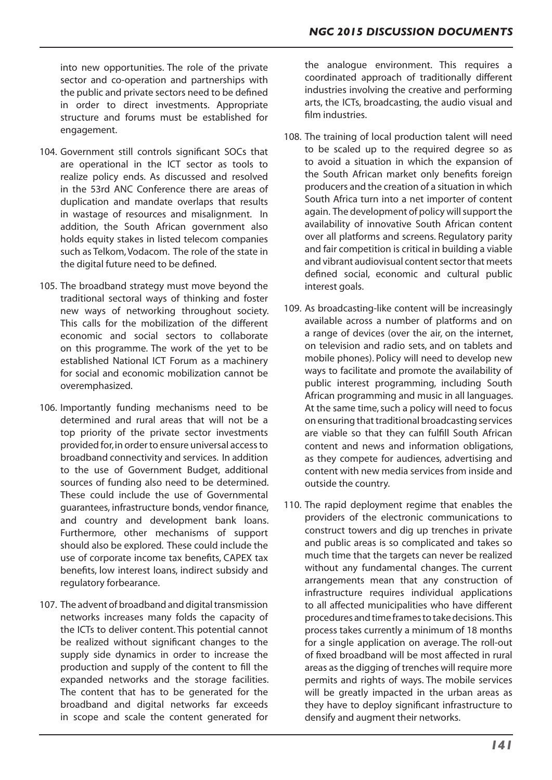into new opportunities. The role of the private sector and co-operation and partnerships with the public and private sectors need to be defined in order to direct investments. Appropriate structure and forums must be established for engagement.

- 104. Government still controls significant SOCs that are operational in the ICT sector as tools to realize policy ends. As discussed and resolved in the 53rd ANC Conference there are areas of duplication and mandate overlaps that results in wastage of resources and misalignment. In addition, the South African government also holds equity stakes in listed telecom companies such as Telkom,Vodacom. The role of the state in the digital future need to be defined.
- 105. The broadband strategy must move beyond the traditional sectoral ways of thinking and foster new ways of networking throughout society. This calls for the mobilization of the different economic and social sectors to collaborate on this programme. The work of the yet to be established National ICT Forum as a machinery for social and economic mobilization cannot be overemphasized.
- 106. Importantly funding mechanisms need to be determined and rural areas that will not be a top priority of the private sector investments provided for, in order to ensure universal access to broadband connectivity and services. In addition to the use of Government Budget, additional sources of funding also need to be determined. These could include the use of Governmental guarantees, infrastructure bonds, vendor finance, and country and development bank loans. Furthermore, other mechanisms of support should also be explored. These could include the use of corporate income tax benefits, CAPEX tax benefits, low interest loans, indirect subsidy and regulatory forbearance.
- 107. The advent of broadband and digital transmission networks increases many folds the capacity of the ICTs to deliver content. This potential cannot be realized without significant changes to the supply side dynamics in order to increase the production and supply of the content to fill the expanded networks and the storage facilities. The content that has to be generated for the broadband and digital networks far exceeds in scope and scale the content generated for

the analogue environment. This requires a coordinated approach of traditionally different industries involving the creative and performing arts, the ICTs, broadcasting, the audio visual and film industries.

- 108. The training of local production talent will need to be scaled up to the required degree so as to avoid a situation in which the expansion of the South African market only benefits foreign producers and the creation of a situation in which South Africa turn into a net importer of content again. The development of policy will support the availability of innovative South African content over all platforms and screens. Regulatory parity and fair competition is critical in building a viable and vibrant audiovisual content sector that meets defined social, economic and cultural public interest goals.
- 109. As broadcasting-like content will be increasingly available across a number of platforms and on a range of devices (over the air, on the internet, on television and radio sets, and on tablets and mobile phones). Policy will need to develop new ways to facilitate and promote the availability of public interest programming, including South African programming and music in all languages. At the same time, such a policy will need to focus on ensuring that traditional broadcasting services are viable so that they can fulfill South African content and news and information obligations, as they compete for audiences, advertising and content with new media services from inside and outside the country.
- 110. The rapid deployment regime that enables the providers of the electronic communications to construct towers and dig up trenches in private and public areas is so complicated and takes so much time that the targets can never be realized without any fundamental changes. The current arrangements mean that any construction of infrastructure requires individual applications to all affected municipalities who have different procedures andtime framestotakedecisions. This process takes currently a minimum of 18 months for a single application on average. The roll-out of fixed broadband will be most affected in rural areas asthe digging of trenches will require more permits and rights of ways. The mobile services will be greatly impacted in the urban areas as they have to deploy significant infrastructure to densify and augment their networks.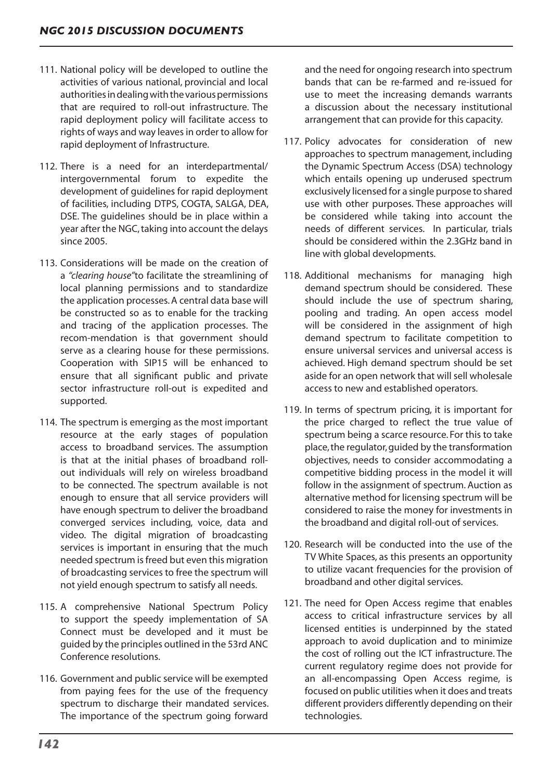- 111. National policy will be developed to outline the activities of various national, provincial and local authorities in dealing with the various permissions that are required to roll-out infrastructure. The rapid deployment policy will facilitate access to rights of ways and way leaves in order to allow for rapid deployment of Infrastructure.
- 112. There is a need for an interdepartmental/ intergovernmental forum to expedite the development of guidelines for rapid deployment of facilities, including DTPS, COGTA, SALGA, DEA, DSE. The guidelines should be in place within a year after the NGC, taking into account the delays since 2005.
- 113. Considerations will be made on the creation of a *"clearing house"*to facilitate the streamlining of local planning permissions and to standardize the application processes.A central data base will be constructed so as to enable for the tracking and tracing of the application processes. The recom-mendation is that government should serve as a clearing house for these permissions. Cooperation with SIP15 will be enhanced to ensure that all significant public and private sector infrastructure roll-out is expedited and supported.
- 114. The spectrum is emerging as the most important resource at the early stages of population access to broadband services. The assumption is that at the initial phases of broadband rollout individuals will rely on wireless broadband to be connected. The spectrum available is not enough to ensure that all service providers will have enough spectrum to deliver the broadband converged services including, voice, data and video. The digital migration of broadcasting services is important in ensuring that the much needed spectrum isfreed but even this migration of broadcasting services to free the spectrum will not yield enough spectrum to satisfy all needs.
- 115. A comprehensive National Spectrum Policy to support the speedy implementation of SA Connect must be developed and it must be guided by the principles outlined in the 53rd ANC Conference resolutions.
- 116. Government and public service will be exempted from paying fees for the use of the frequency spectrum to discharge their mandated services. The importance of the spectrum going forward

and the need for ongoing research into spectrum bands that can be re-farmed and re-issued for use to meet the increasing demands warrants a discussion about the necessary institutional arrangement that can provide for this capacity.

- 117. Policy advocates for consideration of new approaches to spectrum management, including the Dynamic Spectrum Access (DSA) technology which entails opening up underused spectrum exclusively licensed for a single purpose to shared use with other purposes. These approaches will be considered while taking into account the needs of different services. In particular, trials should be considered within the 2.3GHz band in line with global developments.
- 118. Additional mechanisms for managing high demand spectrum should be considered. These should include the use of spectrum sharing, pooling and trading. An open access model will be considered in the assignment of high demand spectrum to facilitate competition to ensure universal services and universal access is achieved. High demand spectrum should be set aside for an open network that will sell wholesale access to new and established operators.
- 119. In terms of spectrum pricing, it is important for the price charged to reflect the true value of spectrum being a scarce resource. For this to take place,the regulator,guided by the transformation objectives, needs to consider accommodating a competitive bidding process in the model it will follow in the assignment of spectrum. Auction as alternative method for licensing spectrum will be considered to raise the money for investments in the broadband and digital roll-out of services.
- 120. Research will be conducted into the use of the TV White Spaces, as this presents an opportunity to utilize vacant frequencies for the provision of broadband and other digital services.
- 121. The need for Open Access regime that enables access to critical infrastructure services by all licensed entities is underpinned by the stated approach to avoid duplication and to minimize the cost of rolling out the ICT infrastructure. The current regulatory regime does not provide for an all-encompassing Open Access regime, is focused on public utilities when it does and treats different providers differently depending on their technologies.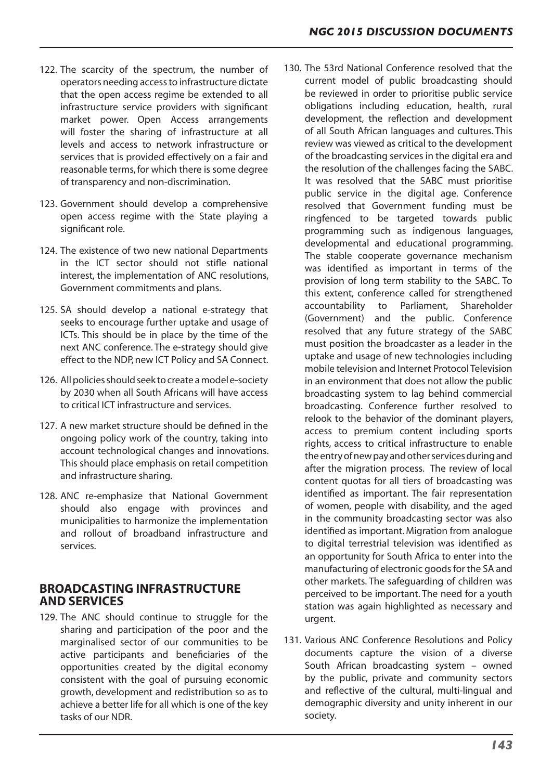- 122. The scarcity of the spectrum, the number of operators needing accessto infrastructure dictate that the open access regime be extended to all infrastructure service providers with significant market power. Open Access arrangements will foster the sharing of infrastructure at all levels and access to network infrastructure or services that is provided effectively on a fair and reasonable terms, for which there is some degree of transparency and non-discrimination.
- 123. Government should develop a comprehensive open access regime with the State playing a significant role.
- 124. The existence of two new national Departments in the ICT sector should not stifle national interest, the implementation of ANC resolutions, Government commitments and plans.
- 125. SA should develop a national e-strategy that seeks to encourage further uptake and usage of ICTs. This should be in place by the time of the next ANC conference. The e-strategy should give effect to the NDP, new ICT Policy and SA Connect.
- 126. All policies should seek to create a model e-society by 2030 when all South Africans will have access to critical ICT infrastructure and services.
- 127. A new market structure should be defined in the ongoing policy work of the country, taking into account technological changes and innovations. This should place emphasis on retail competition and infrastructure sharing.
- 128. ANC re-emphasize that National Government should also engage with provinces and municipalities to harmonize the implementation and rollout of broadband infrastructure and services.

#### **BROADCASTING INFRASTRUCTURE AND SERVICES**

- 129. The ANC should continue to struggle for the sharing and participation of the poor and the marginalised sector of our communities to be active participants and beneficiaries of the opportunities created by the digital economy consistent with the goal of pursuing economic growth, development and redistribution so as to achieve a better life for all which is one of the key tasks of our NDR.
- 130. The 53rd National Conference resolved that the current model of public broadcasting should be reviewed in order to prioritise public service obligations including education, health, rural development, the reflection and development of all South African languages and cultures. This review was viewed as critical to the development of the broadcasting services in the digital era and the resolution of the challenges facing the SABC. It was resolved that the SABC must prioritise public service in the digital age. Conference resolved that Government funding must be ringfenced to be targeted towards public programming such as indigenous languages, developmental and educational programming. The stable cooperate governance mechanism was identified as important in terms of the provision of long term stability to the SABC. To this extent, conference called for strengthened accountability to Parliament, Shareholder (Government) and the public. Conference resolved that any future strategy of the SABC must position the broadcaster as a leader in the uptake and usage of new technologies including mobile television and Internet Protocol Television in an environment that does not allow the public broadcasting system to lag behind commercial broadcasting. Conference further resolved to relook to the behavior of the dominant players, access to premium content including sports rights, access to critical infrastructure to enable the entry of new pay and other services during and after the migration process. The review of local content quotas for all tiers of broadcasting was identified as important. The fair representation of women, people with disability, and the aged in the community broadcasting sector was also identified as important. Migration from analogue to digital terrestrial television was identified as an opportunity for South Africa to enter into the manufacturing of electronic goods for the SA and other markets. The safeguarding of children was perceived to be important. The need for a youth station was again highlighted as necessary and urgent.
- 131. Various ANC Conference Resolutions and Policy documents capture the vision of a diverse South African broadcasting system – owned by the public, private and community sectors and reflective of the cultural, multi-lingual and demographic diversity and unity inherent in our society.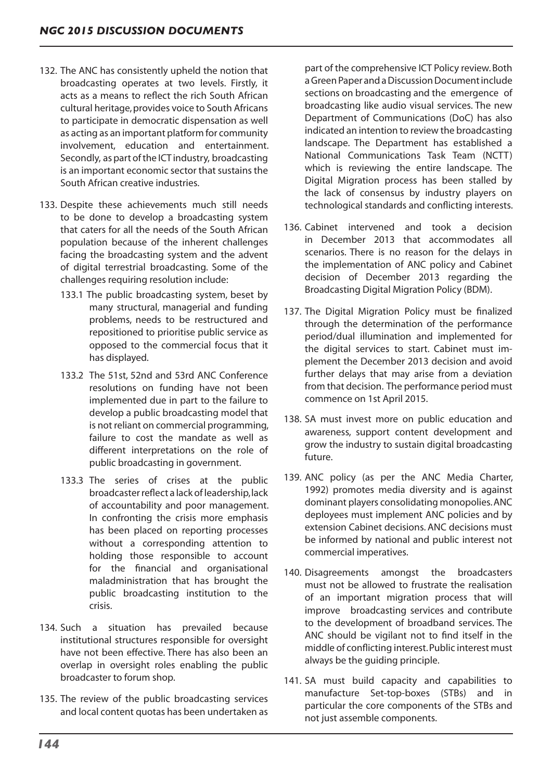- 132. The ANC has consistently upheld the notion that broadcasting operates at two levels. Firstly, it acts as a means to reflect the rich South African cultural heritage, provides voice to South Africans to participate in democratic dispensation as well as acting as an important platform for community involvement, education and entertainment. Secondly, as part of the ICT industry, broadcasting is an important economic sector that sustains the South African creative industries.
- 133. Despite these achievements much still needs to be done to develop a broadcasting system that caters for all the needs of the South African population because of the inherent challenges facing the broadcasting system and the advent of digital terrestrial broadcasting. Some of the challenges requiring resolution include:
	- 133.1 The public broadcasting system, beset by many structural, managerial and funding problems, needs to be restructured and repositioned to prioritise public service as opposed to the commercial focus that it has displayed.
	- 133.2 The 51st, 52nd and 53rd ANC Conference resolutions on funding have not been implemented due in part to the failure to develop a public broadcasting model that is not reliant on commercial programming, failure to cost the mandate as well as different interpretations on the role of public broadcasting in government.
	- 133.3 The series of crises at the public broadcasterreflect a lack ofleadership,lack of accountability and poor management. In confronting the crisis more emphasis has been placed on reporting processes without a corresponding attention to holding those responsible to account for the financial and organisational maladministration that has brought the public broadcasting institution to the crisis.
- 134. Such a situation has prevailed because institutional structures responsible for oversight have not been effective. There has also been an overlap in oversight roles enabling the public broadcaster to forum shop.
- 135. The review of the public broadcasting services and local content quotas has been undertaken as

part of the comprehensive ICT Policy review. Both a Green Paper and a Discussion Document include sections on broadcasting and the emergence of broadcasting like audio visual services. The new Department of Communications (DoC) has also indicated an intention to review the broadcasting landscape. The Department has established a National Communications Task Team (NCTT) which is reviewing the entire landscape. The Digital Migration process has been stalled by the lack of consensus by industry players on technological standards and conflicting interests.

- 136. Cabinet intervened and took a decision in December 2013 that accommodates all scenarios. There is no reason for the delays in the implementation of ANC policy and Cabinet decision of December 2013 regarding the Broadcasting Digital Migration Policy (BDM).
- 137. The Digital Migration Policy must be finalized through the determination of the performance period/dual illumination and implemented for the digital services to start. Cabinet must implement the December 2013 decision and avoid further delays that may arise from a deviation from that decision. The performance period must commence on 1st April 2015.
- 138. SA must invest more on public education and awareness, support content development and grow the industry to sustain digital broadcasting future.
- 139. ANC policy (as per the ANC Media Charter, 1992) promotes media diversity and is against dominant players consolidating monopolies.ANC deployees must implement ANC policies and by extension Cabinet decisions. ANC decisions must be informed by national and public interest not commercial imperatives.
- 140. Disagreements amongst the broadcasters must not be allowed to frustrate the realisation of an important migration process that will improve broadcasting services and contribute to the development of broadband services. The ANC should be vigilant not to find itself in the middle of conflicting interest.Public interest must always be the guiding principle.
- 141. SA must build capacity and capabilities to manufacture Set-top-boxes (STBs) and in particular the core components of the STBs and not just assemble components.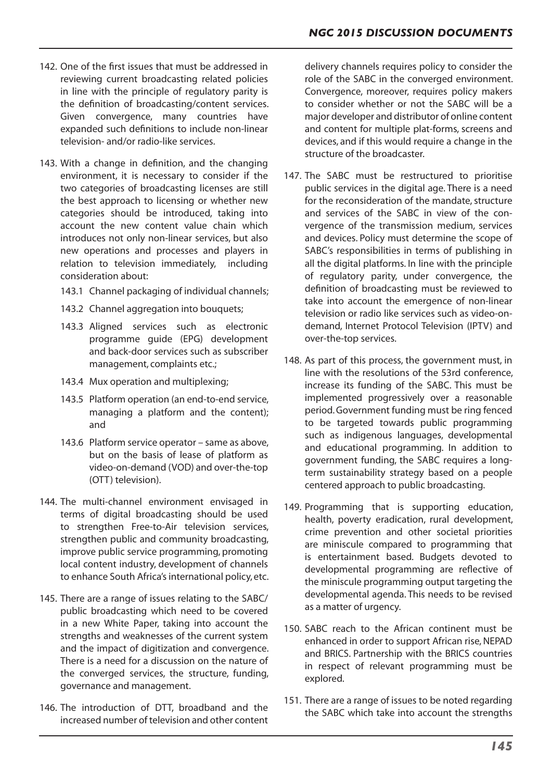- 142. One of the first issues that must be addressed in reviewing current broadcasting related policies in line with the principle of regulatory parity is the definition of broadcasting/content services. Given convergence, many countries have expanded such definitions to include non-linear television- and/or radio-like services.
- 143. With a change in definition, and the changing environment, it is necessary to consider if the two categories of broadcasting licenses are still the best approach to licensing or whether new categories should be introduced, taking into account the new content value chain which introduces not only non-linear services, but also new operations and processes and players in relation to television immediately, including consideration about:
	- 143.1 Channel packaging of individual channels;
	- 143.2 Channel aggregation into bouquets;
	- 143.3 Aligned services such as electronic programme guide (EPG) development and back-door services such as subscriber management, complaints etc.;
	- 143.4 Mux operation and multiplexing;
	- 143.5 Platform operation (an end-to-end service, managing a platform and the content); and
	- 143.6 Platform service operator same as above, but on the basis of lease of platform as video-on-demand (VOD) and over-the-top (OTT) television).
- 144. The multi-channel environment envisaged in terms of digital broadcasting should be used to strengthen Free-to-Air television services, strengthen public and community broadcasting, improve public service programming, promoting local content industry, development of channels to enhance South Africa's international policy, etc.
- 145. There are a range of issues relating to the SABC/ public broadcasting which need to be covered in a new White Paper, taking into account the strengths and weaknesses of the current system and the impact of digitization and convergence. There is a need for a discussion on the nature of the converged services, the structure, funding, governance and management.
- 146. The introduction of DTT, broadband and the increased number of television and other content

delivery channels requires policy to consider the role of the SABC in the converged environment. Convergence, moreover, requires policy makers to consider whether or not the SABC will be a major developer and distributor of online content and content for multiple plat-forms, screens and devices, and if this would require a change in the structure of the broadcaster.

- 147. The SABC must be restructured to prioritise public services in the digital age. There is a need for the reconsideration of the mandate, structure and services of the SABC in view of the convergence of the transmission medium, services and devices. Policy must determine the scope of SABC's responsibilities in terms of publishing in all the digital platforms. In line with the principle of regulatory parity, under convergence, the definition of broadcasting must be reviewed to take into account the emergence of non-linear television or radio like services such as video-ondemand, Internet Protocol Television (IPTV) and over-the-top services.
- 148. As part of this process, the government must, in line with the resolutions of the 53rd conference, increase its funding of the SABC. This must be implemented progressively over a reasonable period.Government funding must be ring fenced to be targeted towards public programming such as indigenous languages, developmental and educational programming. In addition to government funding, the SABC requires a longterm sustainability strategy based on a people centered approach to public broadcasting.
- 149. Programming that is supporting education, health, poverty eradication, rural development, crime prevention and other societal priorities are miniscule compared to programming that is entertainment based. Budgets devoted to developmental programming are reflective of the miniscule programming output targeting the developmental agenda. This needs to be revised as a matter of urgency.
- 150. SABC reach to the African continent must be enhanced in order to support African rise, NEPAD and BRICS. Partnership with the BRICS countries in respect of relevant programming must be explored.
- 151. There are a range of issues to be noted regarding the SABC which take into account the strengths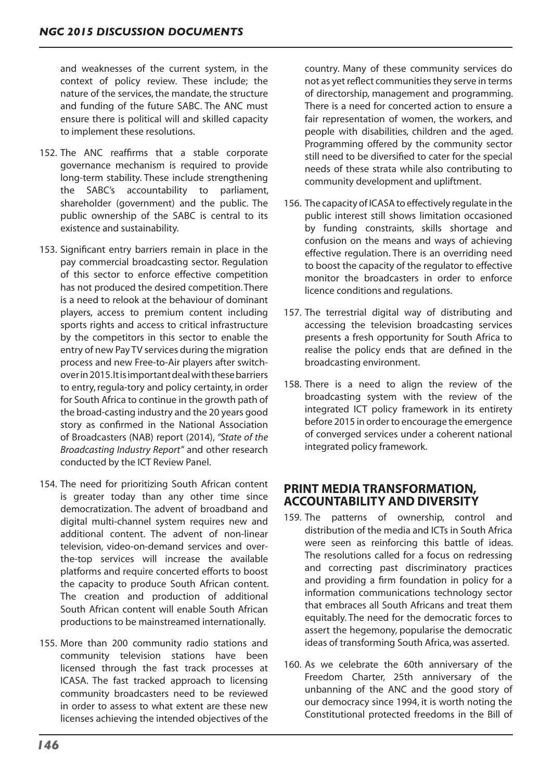and weaknesses of the current system, in the context of policy review. These include; the nature of the services, the mandate, the structure and funding of the future SABC. The ANC must ensure there is political will and skilled capacity to implement these resolutions.

- 152. The ANC reaffirms that a stable corporate governance mechanism is required to provide long-term stability. These include strengthening the SABC's accountability to parliament, shareholder (government) and the public. The public ownership of the SABC is central to its existence and sustainability.
- 153. Significant entry barriers remain in place in the pay commercial broadcasting sector. Regulation of this sector to enforce effective competition has not produced the desired competition.There is a need to relook at the behaviour of dominant players, access to premium content including sports rights and access to critical infrastructure by the competitors in this sector to enable the entry of new Pay TV services during the migration process and new Free-to-Air players after switchover in 2015. It is important deal with these barriers to entry, regula-tory and policy certainty, in order for South Africa to continue in the growth path of the broad-casting industry and the 20 years good story as confirmed in the National Association of Broadcasters (NAB) report (2014), *"State of the Broadcasting Industry Report"* and other research conducted by the ICT Review Panel.
- 154. The need for prioritizing South African content is greater today than any other time since democratization. The advent of broadband and digital multi-channel system requires new and additional content. The advent of non-linear television, video-on-demand services and overthe-top services will increase the available platforms and require concerted efforts to boost the capacity to produce South African content. The creation and production of additional South African content will enable South African productions to be mainstreamed internationally.
- 155. More than 200 community radio stations and community television stations have been licensed through the fast track processes at ICASA. The fast tracked approach to licensing community broadcasters need to be reviewed in order to assess to what extent are these new licenses achieving the intended objectives of the

country. Many of these community services do not as yet reflect communities they serve in terms of directorship, management and programming. There is a need for concerted action to ensure a fair representation of women, the workers, and people with disabilities, children and the aged. Programming offered by the community sector still need to be diversified to cater for the special needs of these strata while also contributing to community development and upliftment.

- 156. The capacity of ICASA to effectively regulate in the public interest still shows limitation occasioned by funding constraints, skills shortage and confusion on the means and ways of achieving effective regulation. There is an overriding need to boost the capacity of the regulator to effective monitor the broadcasters in order to enforce licence conditions and regulations.
- 157. The terrestrial digital way of distributing and accessing the television broadcasting services presents a fresh opportunity for South Africa to realise the policy ends that are defined in the broadcasting environment.
- 158. There is a need to align the review of the broadcasting system with the review of the integrated ICT policy framework in its entirety before 2015 in order to encourage the emergence of converged services under a coherent national integrated policy framework.

#### **PRINT MEDIA TRANSFORMATION, ACCOUNTABILITY AND DIVERSITY**

- 159. The patterns of ownership, control and distribution of the media and ICTs in South Africa were seen as reinforcing this battle of ideas. The resolutions called for a focus on redressing and correcting past discriminatory practices and providing a firm foundation in policy for a information communications technology sector that embraces all South Africans and treat them equitably. The need for the democratic forces to assert the hegemony, popularise the democratic ideas of transforming South Africa,was asserted.
- 160. As we celebrate the 60th anniversary of the Freedom Charter, 25th anniversary of the unbanning of the ANC and the good story of our democracy since 1994, it is worth noting the Constitutional protected freedoms in the Bill of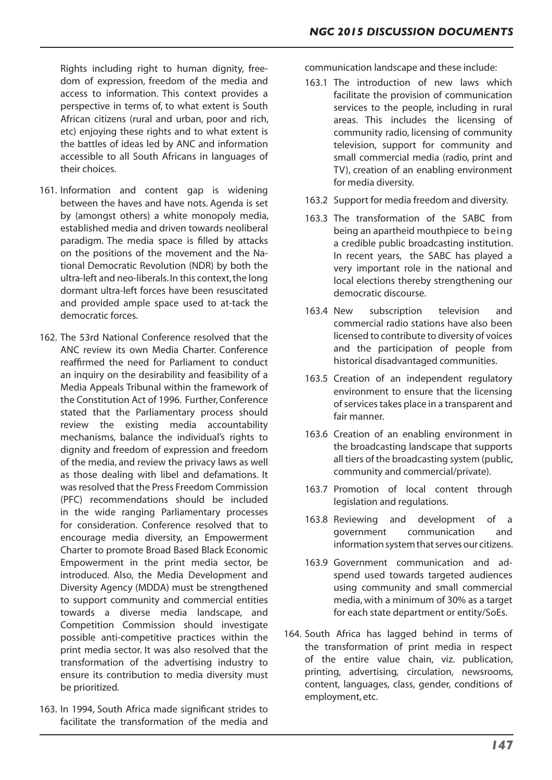Rights including right to human dignity, freedom of expression, freedom of the media and access to information. This context provides a perspective in terms of, to what extent is South African citizens (rural and urban, poor and rich, etc) enjoying these rights and to what extent is the battles of ideas led by ANC and information accessible to all South Africans in languages of their choices.

- 161. Information and content gap is widening between the haves and have nots. Agenda is set by (amongst others) a white monopoly media, established media and driven towards neoliberal paradigm. The media space is filled by attacks on the positions of the movement and the National Democratic Revolution (NDR) by both the ultra-left and neo-liberals.In this context,the long dormant ultra-left forces have been resuscitated and provided ample space used to at-tack the democratic forces.
- 162. The 53rd National Conference resolved that the ANC review its own Media Charter. Conference reaffirmed the need for Parliament to conduct an inquiry on the desirability and feasibility of a Media Appeals Tribunal within the framework of the Constitution Act of 1996. Further, Conference stated that the Parliamentary process should review the existing media accountability mechanisms, balance the individual's rights to dignity and freedom of expression and freedom of the media, and review the privacy laws as well as those dealing with libel and defamations. It was resolved that the Press Freedom Commission (PFC) recommendations should be included in the wide ranging Parliamentary processes for consideration. Conference resolved that to encourage media diversity, an Empowerment Charter to promote Broad Based Black Economic Empowerment in the print media sector, be introduced. Also, the Media Development and Diversity Agency (MDDA) must be strengthened to support community and commercial entities towards a diverse media landscape, and Competition Commission should investigate possible anti-competitive practices within the print media sector. It was also resolved that the transformation of the advertising industry to ensure its contribution to media diversity must be prioritized.
- 163. In 1994, South Africa made significant strides to facilitate the transformation of the media and

communication landscape and these include:

- 163.1 The introduction of new laws which facilitate the provision of communication services to the people, including in rural areas. This includes the licensing of community radio, licensing of community television, support for community and small commercial media (radio, print and TV), creation of an enabling environment for media diversity.
- 163.2 Support for media freedom and diversity.
- 163.3 The transformation of the SABC from being an apartheid mouthpiece to being a credible public broadcasting institution. In recent years, the SABC has played a very important role in the national and local elections thereby strengthening our democratic discourse.
- 163.4 New subscription television and commercial radio stations have also been licensed to contribute to diversity of voices and the participation of people from historical disadvantaged communities.
- 163.5 Creation of an independent regulatory environment to ensure that the licensing ofservicestakes place in a transparent and fair manner.
- 163.6 Creation of an enabling environment in the broadcasting landscape that supports all tiers of the broadcasting system (public, community and commercial/private).
- 163.7 Promotion of local content through legislation and regulations.
- 163.8 Reviewing and development of a government communication and information system that serves our citizens.
- 163.9 Government communication and adspend used towards targeted audiences using community and small commercial media, with a minimum of 30% as a target for each state department or entity/SoEs.
- 164. South Africa has lagged behind in terms of the transformation of print media in respect of the entire value chain, viz. publication, printing, advertising, circulation, newsrooms, content, languages, class, gender, conditions of employment, etc.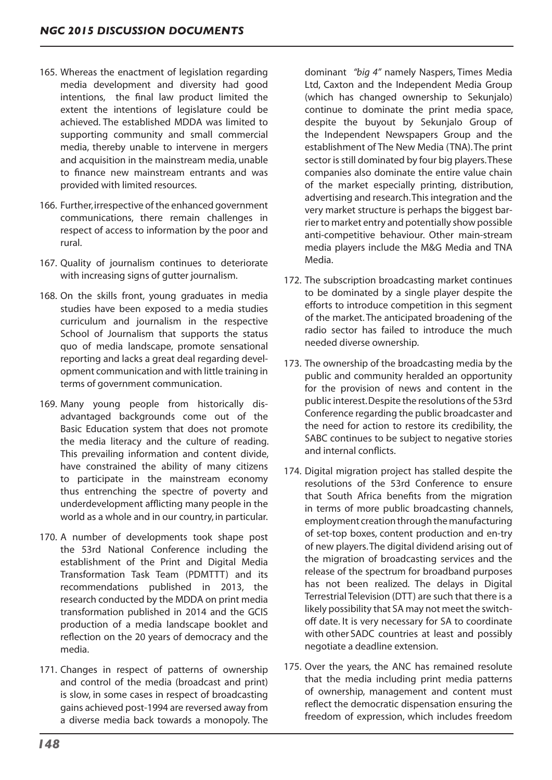- 165. Whereas the enactment of legislation regarding media development and diversity had good intentions, the final law product limited the extent the intentions of legislature could be achieved. The established MDDA was limited to supporting community and small commercial media, thereby unable to intervene in mergers and acquisition in the mainstream media, unable to finance new mainstream entrants and was provided with limited resources.
- 166. Further, irrespective of the enhanced government communications, there remain challenges in respect of access to information by the poor and rural.
- 167. Quality of journalism continues to deteriorate with increasing signs of gutter journalism.
- 168. On the skills front, young graduates in media studies have been exposed to a media studies curriculum and journalism in the respective School of Journalism that supports the status quo of media landscape, promote sensational reporting and lacks a great deal regarding development communication and with little training in terms of government communication.
- 169. Many young people from historically disadvantaged backgrounds come out of the Basic Education system that does not promote the media literacy and the culture of reading. This prevailing information and content divide, have constrained the ability of many citizens to participate in the mainstream economy thus entrenching the spectre of poverty and underdevelopment afflicting many people in the world as a whole and in our country, in particular.
- 170. A number of developments took shape post the 53rd National Conference including the establishment of the Print and Digital Media Transformation Task Team (PDMTTT) and its recommendations published in 2013, the research conducted by the MDDA on print media transformation published in 2014 and the GCIS production of a media landscape booklet and reflection on the 20 years of democracy and the media.
- 171. Changes in respect of patterns of ownership and control of the media (broadcast and print) is slow, in some cases in respect of broadcasting gains achieved post-1994 are reversed away from a diverse media back towards a monopoly. The

dominant *"big 4"* namely Naspers, Times Media Ltd, Caxton and the Independent Media Group (which has changed ownership to Sekunjalo) continue to dominate the print media space, despite the buyout by Sekunjalo Group of the Independent Newspapers Group and the establishment of The New Media (TNA).The print sector is still dominated by four big players. These companies also dominate the entire value chain of the market especially printing, distribution, advertising and research. This integration and the very market structure is perhaps the biggest barrier to market entry and potentially show possible anti-competitive behaviour. Other main-stream media players include the M&G Media and TNA Media.

- 172. The subscription broadcasting market continues to be dominated by a single player despite the efforts to introduce competition in this segment of the market. The anticipated broadening of the radio sector has failed to introduce the much needed diverse ownership.
- 173. The ownership of the broadcasting media by the public and community heralded an opportunity for the provision of news and content in the public interest.Despite the resolutions ofthe 53rd Conference regarding the public broadcaster and the need for action to restore its credibility, the SABC continues to be subject to negative stories and internal conflicts.
- 174. Digital migration project has stalled despite the resolutions of the 53rd Conference to ensure that South Africa benefits from the migration in terms of more public broadcasting channels, employment creation through the manufacturing of set-top boxes, content production and en-try of new players.The digital dividend arising out of the migration of broadcasting services and the release of the spectrum for broadband purposes has not been realized. The delays in Digital Terrestrial Television (DTT) are such that there is a likely possibility that SA may not meet the switchoff date. It is very necessary for SA to coordinate with other SADC countries at least and possibly negotiate a deadline extension.
- 175. Over the years, the ANC has remained resolute that the media including print media patterns of ownership, management and content must reflect the democratic dispensation ensuring the freedom of expression, which includes freedom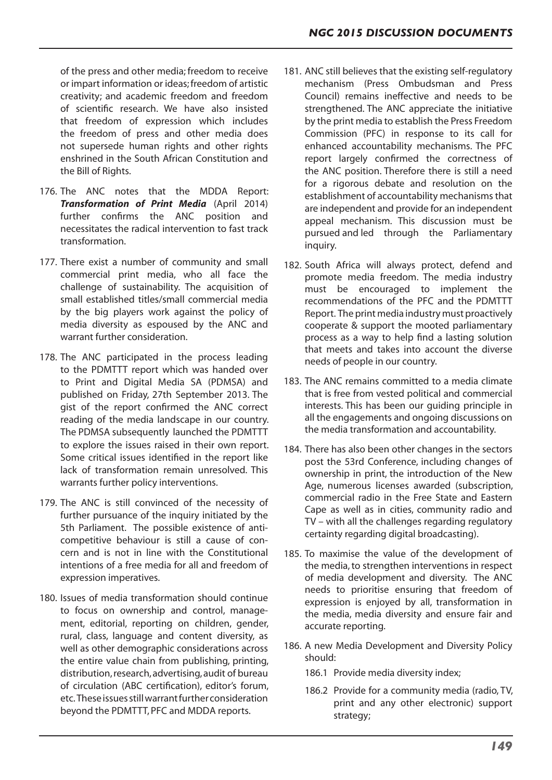of the press and other media; freedom to receive or impart information or ideas;freedom of artistic creativity; and academic freedom and freedom of scientific research. We have also insisted that freedom of expression which includes the freedom of press and other media does not supersede human rights and other rights enshrined in the South African Constitution and the Bill of Rights.

- 176. The ANC notes that the MDDA Report: *Transformation of Print Media* (April 2014) further confirms the ANC position and necessitates the radical intervention to fast track transformation.
- 177. There exist a number of community and small commercial print media, who all face the challenge of sustainability. The acquisition of small established titles/small commercial media by the big players work against the policy of media diversity as espoused by the ANC and warrant further consideration.
- 178. The ANC participated in the process leading to the PDMTTT report which was handed over to Print and Digital Media SA (PDMSA) and published on Friday, 27th September 2013. The gist of the report confirmed the ANC correct reading of the media landscape in our country. The PDMSA subsequently launched the PDMTTT to explore the issues raised in their own report. Some critical issues identified in the report like lack of transformation remain unresolved. This warrants further policy interventions.
- 179. The ANC is still convinced of the necessity of further pursuance of the inquiry initiated by the 5th Parliament. The possible existence of anticompetitive behaviour is still a cause of concern and is not in line with the Constitutional intentions of a free media for all and freedom of expression imperatives.
- 180. Issues of media transformation should continue to focus on ownership and control, management, editorial, reporting on children, gender, rural, class, language and content diversity, as well as other demographic considerations across the entire value chain from publishing, printing, distribution,research,advertising,audit of bureau of circulation (ABC certification), editor's forum, etc. These issues still warrant further consideration beyond the PDMTTT, PFC and MDDA reports.
- 181. ANC still believes that the existing self-regulatory mechanism (Press Ombudsman and Press Council) remains ineffective and needs to be strengthened. The ANC appreciate the initiative by the print media to establish the Press Freedom Commission (PFC) in response to its call for enhanced accountability mechanisms. The PFC report largely confirmed the correctness of the ANC position. Therefore there is still a need for a rigorous debate and resolution on the establishment of accountability mechanisms that are independent and provide for an independent appeal mechanism. This discussion must be pursued and led through the Parliamentary inquiry.
- 182. South Africa will always protect, defend and promote media freedom. The media industry must be encouraged to implement the recommendations of the PFC and the PDMTTT Report. The print media industry must proactively cooperate & support the mooted parliamentary process as a way to help find a lasting solution that meets and takes into account the diverse needs of people in our country.
- 183. The ANC remains committed to a media climate that is free from vested political and commercial interests. This has been our guiding principle in all the engagements and ongoing discussions on the media transformation and accountability.
- 184. There has also been other changes in the sectors post the 53rd Conference, including changes of ownership in print, the introduction of the New Age, numerous licenses awarded (subscription, commercial radio in the Free State and Eastern Cape as well as in cities, community radio and TV – with all the challenges regarding regulatory certainty regarding digital broadcasting).
- 185. To maximise the value of the development of the media, to strengthen interventions in respect of media development and diversity. The ANC needs to prioritise ensuring that freedom of expression is enjoyed by all, transformation in the media, media diversity and ensure fair and accurate reporting.
- 186. A new Media Development and Diversity Policy should:
	- 186.1 Provide media diversity index;
	- 186.2 Provide for a community media (radio, TV, print and any other electronic) support strategy;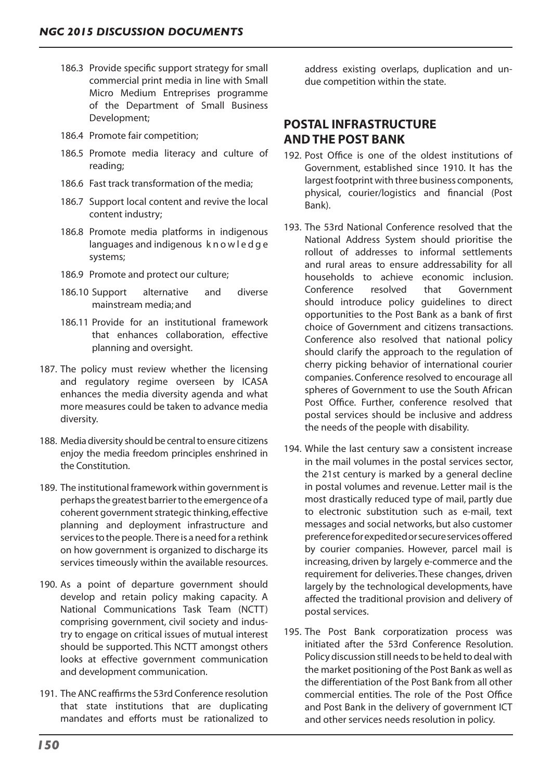- 186.3 Provide specific support strategy for small commercial print media in line with Small Micro Medium Entreprises programme of the Department of Small Business Development;
- 186.4 Promote fair competition;
- 186.5 Promote media literacy and culture of reading;
- 186.6 Fast track transformation of the media:
- 186.7 Support local content and revive the local content industry;
- 186.8 Promote media platforms in indigenous languages and indigenous knowledge systems;
- 186.9 Promote and protect our culture;
- 186.10 Support alternative and diverse mainstream media; and
- 186.11 Provide for an institutional framework that enhances collaboration, effective planning and oversight.
- 187. The policy must review whether the licensing and regulatory regime overseen by ICASA enhances the media diversity agenda and what more measures could be taken to advance media diversity.
- 188. Media diversity should be central to ensure citizens enjoy the media freedom principles enshrined in the Constitution.
- 189. The institutional framework within government is perhaps the greatest barrier to the emergence of a coherent government strategic thinking, effective planning and deployment infrastructure and services to the people. There is a need for a rethink on how government is organized to discharge its services timeously within the available resources.
- 190. As a point of departure government should develop and retain policy making capacity. A National Communications Task Team (NCTT) comprising government, civil society and industry to engage on critical issues of mutual interest should be supported. This NCTT amongst others looks at effective government communication and development communication.
- 191. The ANC reaffirms the 53rd Conference resolution that state institutions that are duplicating mandates and efforts must be rationalized to

address existing overlaps, duplication and undue competition within the state.

### **POSTAL INFRASTRUCTURE AND THE POST BANK**

- 192. Post Office is one of the oldest institutions of Government, established since 1910. It has the largest footprint with three business components, physical, courier/logistics and financial (Post Bank).
- 193. The 53rd National Conference resolved that the National Address System should prioritise the rollout of addresses to informal settlements and rural areas to ensure addressability for all households to achieve economic inclusion. Conference resolved that Government should introduce policy guidelines to direct opportunities to the Post Bank as a bank of first choice of Government and citizens transactions. Conference also resolved that national policy should clarify the approach to the regulation of cherry picking behavior of international courier companies.Conference resolved to encourage all spheres of Government to use the South African Post Office. Further, conference resolved that postal services should be inclusive and address the needs of the people with disability.
- 194. While the last century saw a consistent increase in the mail volumes in the postal services sector, the 21st century is marked by a general decline in postal volumes and revenue. Letter mail is the most drastically reduced type of mail, partly due to electronic substitution such as e-mail, text messages and social networks, but also customer preferenceforexpeditedorsecureservicesoffered by courier companies. However, parcel mail is increasing, driven by largely e-commerce and the requirement for deliveries. These changes, driven largely by the technological developments, have affected the traditional provision and delivery of postal services.
- 195. The Post Bank corporatization process was initiated after the 53rd Conference Resolution. Policy discussion still needs to be held to deal with the market positioning of the Post Bank as well as the differentiation of the Post Bank from all other commercial entities. The role of the Post Office and Post Bank in the delivery of government ICT and other services needs resolution in policy.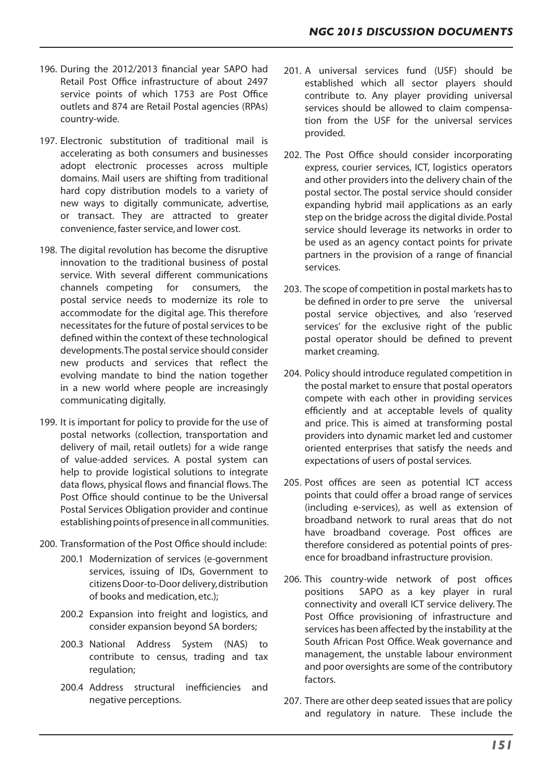- 196. During the 2012/2013 financial year SAPO had Retail Post Office infrastructure of about 2497 service points of which 1753 are Post Office outlets and 874 are Retail Postal agencies (RPAs) country-wide.
- 197. Electronic substitution of traditional mail is accelerating as both consumers and businesses adopt electronic processes across multiple domains. Mail users are shifting from traditional hard copy distribution models to a variety of new ways to digitally communicate, advertise, or transact. They are attracted to greater convenience,faster service, and lower cost.
- 198. The digital revolution has become the disruptive innovation to the traditional business of postal service. With several different communications channels competing for consumers, the postal service needs to modernize its role to accommodate for the digital age. This therefore necessitates for the future of postal services to be defined within the context of these technological developments. The postal service should consider new products and services that reflect the evolving mandate to bind the nation together in a new world where people are increasingly communicating digitally.
- 199. It is important for policy to provide for the use of postal networks (collection, transportation and delivery of mail, retail outlets) for a wide range of value-added services. A postal system can help to provide logistical solutions to integrate data flows, physical flows and financial flows. The Post Office should continue to be the Universal Postal Services Obligation provider and continue establishing points of presence in all communities.
- 200. Transformation of the Post Office should include:
	- 200.1 Modernization of services (e-government services, issuing of IDs, Government to citizensDoor-to-Door delivery,distribution of books and medication, etc.);
	- 200.2 Expansion into freight and logistics, and consider expansion beyond SA borders;
	- 200.3 National Address System (NAS) to contribute to census, trading and tax regulation;
	- 200.4 Address structural inefficiencies and negative perceptions.
- 201. A universal services fund (USF) should be established which all sector players should contribute to. Any player providing universal services should be allowed to claim compensation from the USF for the universal services provided.
- 202. The Post Office should consider incorporating express, courier services, ICT, logistics operators and other providers into the delivery chain of the postal sector. The postal service should consider expanding hybrid mail applications as an early step on the bridge across the digital divide. Postal service should leverage its networks in order to be used as an agency contact points for private partners in the provision of a range of financial services.
- 203. The scope of competition in postal markets has to be defined in order to pre serve the universal postal service objectives, and also 'reserved services' for the exclusive right of the public postal operator should be defined to prevent market creaming.
- 204. Policy should introduce regulated competition in the postal market to ensure that postal operators compete with each other in providing services efficiently and at acceptable levels of quality and price. This is aimed at transforming postal providers into dynamic market led and customer oriented enterprises that satisfy the needs and expectations of users of postal services.
- 205. Post offices are seen as potential ICT access points that could offer a broad range of services (including e-services), as well as extension of broadband network to rural areas that do not have broadband coverage. Post offices are therefore considered as potential points of presence for broadband infrastructure provision.
- 206. This country-wide network of post offices positions SAPO as a key player in rural connectivity and overall ICT service delivery. The Post Office provisioning of infrastructure and services has been affected by the instability at the South African Post Office. Weak governance and management, the unstable labour environment and poor oversights are some of the contributory factors.
- 207. There are other deep seated issues that are policy and regulatory in nature. These include the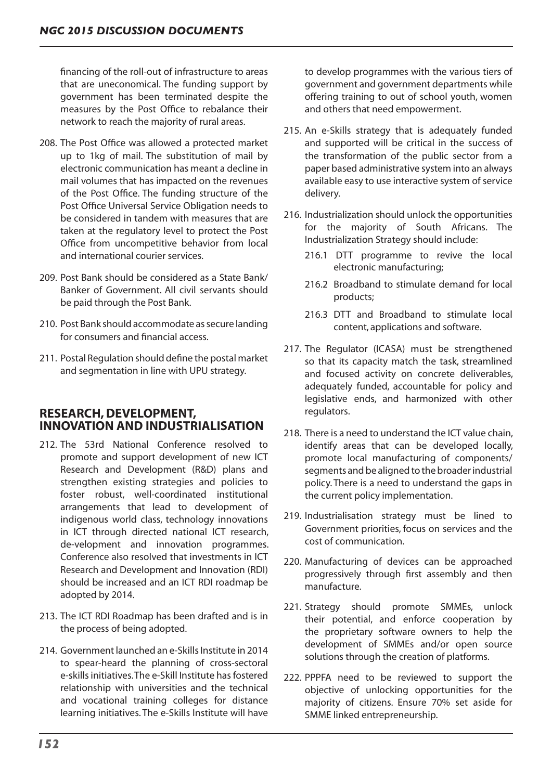financing of the roll-out of infrastructure to areas that are uneconomical. The funding support by government has been terminated despite the measures by the Post Office to rebalance their network to reach the majority of rural areas.

- 208. The Post Office was allowed a protected market up to 1kg of mail. The substitution of mail by electronic communication has meant a decline in mail volumes that has impacted on the revenues of the Post Office. The funding structure of the Post Office Universal Service Obligation needs to be considered in tandem with measures that are taken at the regulatory level to protect the Post Office from uncompetitive behavior from local and international courier services.
- 209. Post Bank should be considered as a State Bank/ Banker of Government. All civil servants should be paid through the Post Bank.
- 210. Post Bank should accommodate as secure landing for consumers and financial access.
- 211. Postal Regulation should define the postal market and segmentation in line with UPU strategy.

#### **RESEARCH, DEVELOPMENT, INNOVATION AND INDUSTRIALISATION**

- 212. The 53rd National Conference resolved to promote and support development of new ICT Research and Development (R&D) plans and strengthen existing strategies and policies to foster robust, well-coordinated institutional arrangements that lead to development of indigenous world class, technology innovations in ICT through directed national ICT research, de-velopment and innovation programmes. Conference also resolved that investments in ICT Research and Development and Innovation (RDI) should be increased and an ICT RDI roadmap be adopted by 2014.
- 213. The ICT RDI Roadmap has been drafted and is in the process of being adopted.
- 214. Government launched an e-Skills Institute in 2014 to spear-heard the planning of cross-sectoral e-skills initiatives. The e-Skill Institute has fostered relationship with universities and the technical and vocational training colleges for distance learning initiatives. The e-Skills Institute will have

to develop programmes with the various tiers of government and government departments while offering training to out of school youth, women and others that need empowerment.

- 215. An e-Skills strategy that is adequately funded and supported will be critical in the success of the transformation of the public sector from a paper based administrative system into an always available easy to use interactive system of service delivery.
- 216. Industrialization should unlock the opportunities for the majority of South Africans. The Industrialization Strategy should include:
	- 216.1 DTT programme to revive the local electronic manufacturing;
	- 216.2 Broadband to stimulate demand for local products;
	- 216.3 DTT and Broadband to stimulate local content, applications and software.
- 217. The Regulator (ICASA) must be strengthened so that its capacity match the task, streamlined and focused activity on concrete deliverables, adequately funded, accountable for policy and legislative ends, and harmonized with other regulators.
- 218. There is a need to understand the ICT value chain, identify areas that can be developed locally, promote local manufacturing of components/ segments and be aligned to the broader industrial policy. There is a need to understand the gaps in the current policy implementation.
- 219. Industrialisation strategy must be lined to Government priorities, focus on services and the cost of communication.
- 220. Manufacturing of devices can be approached progressively through first assembly and then manufacture.
- 221. Strategy should promote SMMEs, unlock their potential, and enforce cooperation by the proprietary software owners to help the development of SMMEs and/or open source solutions through the creation of platforms.
- 222. PPPFA need to be reviewed to support the objective of unlocking opportunities for the majority of citizens. Ensure 70% set aside for SMME linked entrepreneurship.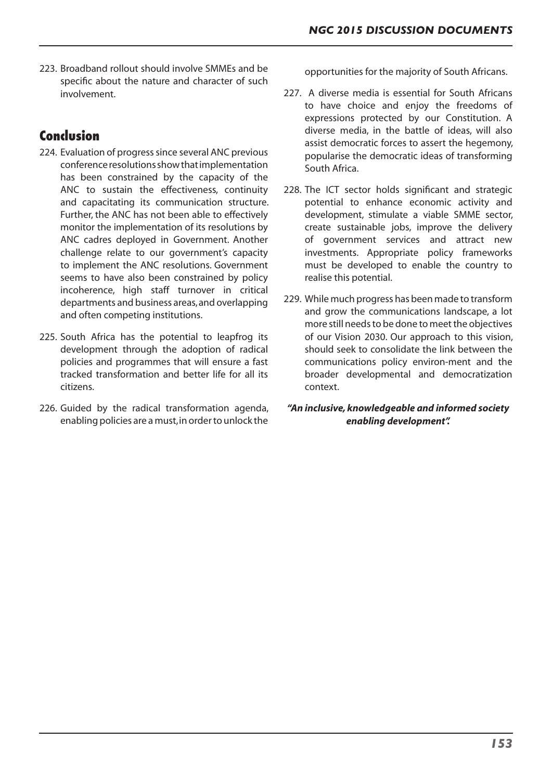223. Broadband rollout should involve SMMEs and be specific about the nature and character of such involvement.

## **Conclusion**

- 224. Evaluation of progress since several ANC previous conferenceresolutionsshowthatimplementation has been constrained by the capacity of the ANC to sustain the effectiveness, continuity and capacitating its communication structure. Further, the ANC has not been able to effectively monitor the implementation of its resolutions by ANC cadres deployed in Government. Another challenge relate to our government's capacity to implement the ANC resolutions. Government seems to have also been constrained by policy incoherence, high staff turnover in critical departments and business areas,and overlapping and often competing institutions.
- 225. South Africa has the potential to leapfrog its development through the adoption of radical policies and programmes that will ensure a fast tracked transformation and better life for all its citizens.
- 226. Guided by the radical transformation agenda, enabling policies are a must, in order to unlock the

opportunities for the majority of South Africans.

- 227. A diverse media is essential for South Africans to have choice and enjoy the freedoms of expressions protected by our Constitution. A diverse media, in the battle of ideas, will also assist democratic forces to assert the hegemony, popularise the democratic ideas of transforming South Africa.
- 228. The ICT sector holds significant and strategic potential to enhance economic activity and development, stimulate a viable SMME sector, create sustainable jobs, improve the delivery of government services and attract new investments. Appropriate policy frameworks must be developed to enable the country to realise this potential.
- 229. While much progress has been made to transform and grow the communications landscape, a lot more still needs to be done to meet the objectives of our Vision 2030. Our approach to this vision, should seek to consolidate the link between the communications policy environ-ment and the broader developmental and democratization context.

*"An inclusive, knowledgeable and informed society enabling development".*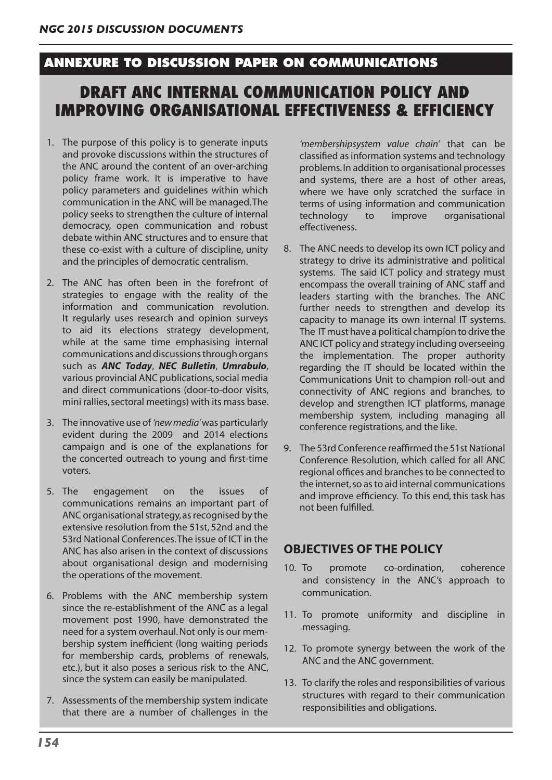## **ANNEXURE TO DISCUSSION PAPER ON COMMUNICATIONS**

## **DRAFT ANC INTERNAL COMMUNICATION POLICY AND IMPROVING ORGANISATIONAL EFFECTIVENESS & EFFICIENCY**

- 1. The purpose of this policy is to generate inputs and provoke discussions within the structures of the ANC around the content of an over-arching policy frame work. It is imperative to have policy parameters and guidelines within which communication in the ANC will be managed.The policy seeks to strengthen the culture of internal democracy, open communication and robust debate within ANC structures and to ensure that these co-exist with a culture of discipline, unity and the principles of democratic centralism.
- 2. The ANC has often been in the forefront of strategies to engage with the reality of the information and communication revolution. It regularly uses research and opinion surveys to aid its elections strategy development, while at the same time emphasising internal communications and discussions through organs such as *ANC Today*, *NEC Bulletin*, *Umrabulo*, various provincial ANC publications, social media and direct communications (door-to-door visits, mini rallies,sectoral meetings) with its mass base.
- 3. The innovative use of *'new media'* was particularly evident during the 2009 and 2014 elections campaign and is one of the explanations for the concerted outreach to young and first-time voters.
- 5. The engagement on the issues of communications remains an important part of ANC organisational strategy, as recognised by the extensive resolution from the 51st, 52nd and the 53rd National Conferences.The issue of ICT in the ANC has also arisen in the context of discussions about organisational design and modernising the operations of the movement.
- 6. Problems with the ANC membership system since the re-establishment of the ANC as a legal movement post 1990, have demonstrated the need for a system overhaul.Not only is our membership system inefficient (long waiting periods for membership cards, problems of renewals, etc.), but it also poses a serious risk to the ANC, since the system can easily be manipulated.
- 7. Assessments of the membership system indicate that there are a number of challenges in the

*'membershipsystem value chain'* that can be classified asinformation systems and technology problems.In addition to organisational processes and systems, there are a host of other areas, where we have only scratched the surface in terms of using information and communication technology to improve organisational effectiveness.

- 8. The ANC needs to develop its own ICT policy and strategy to drive its administrative and political systems. The said ICT policy and strategy must encompass the overall training of ANC staff and leaders starting with the branches. The ANC further needs to strengthen and develop its capacity to manage its own internal IT systems. The IT must have a political champion to drive the ANC ICT policy and strategy including overseeing the implementation. The proper authority regarding the IT should be located within the Communications Unit to champion roll-out and connectivity of ANC regions and branches, to develop and strengthen ICT platforms, manage membership system, including managing all conference registrations, and the like.
- 9. The 53rd Conference reaffirmed the 51st National Conference Resolution, which called for all ANC regional offices and branches to be connected to the internet,so asto aid internal communications and improve efficiency. To this end, this task has not been fulfilled.

## **OBJECTIVES OF THE POLICY**

- 10. To promote co-ordination, coherence and consistency in the ANC's approach to communication.
- 11. To promote uniformity and discipline in messaging.
- 12. To promote synergy between the work of the ANC and the ANC government.
- 13. To clarify the roles and responsibilities of various structures with regard to their communication responsibilities and obligations.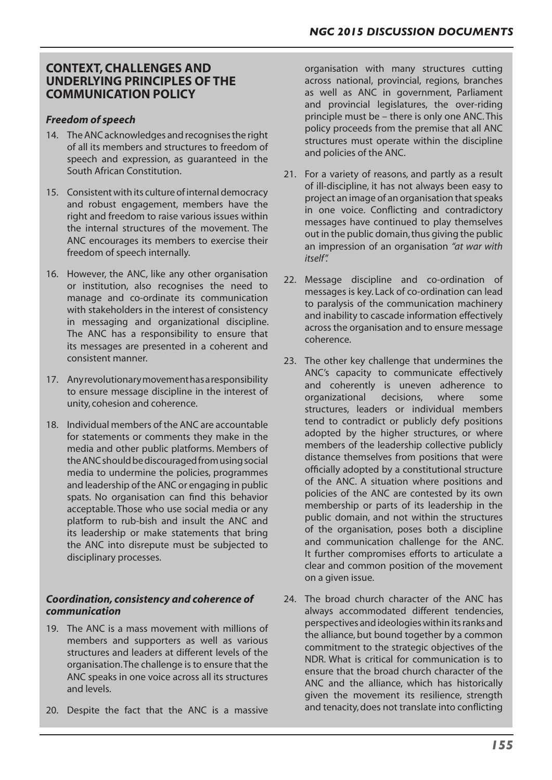#### **CONTEXT, CHALLENGES AND UNDERLYING PRINCIPLES OF THE COMMUNICATION POLICY**

#### *Freedom of speech*

- 14. The ANC acknowledges and recognises the right of all its members and structures to freedom of speech and expression, as guaranteed in the South African Constitution.
- 15. Consistent with its culture of internal democracy and robust engagement, members have the right and freedom to raise various issues within the internal structures of the movement. The ANC encourages its members to exercise their freedom of speech internally.
- 16. However, the ANC, like any other organisation or institution, also recognises the need to manage and co-ordinate its communication with stakeholders in the interest of consistency in messaging and organizational discipline. The ANC has a responsibility to ensure that its messages are presented in a coherent and consistent manner.
- 17. Any revolutionary movement has a responsibility to ensure message discipline in the interest of unity, cohesion and coherence.
- 18. Individual members of the ANC are accountable for statements or comments they make in the media and other public platforms. Members of the ANC should be discouraged from using social media to undermine the policies, programmes and leadership of the ANC or engaging in public spats. No organisation can find this behavior acceptable. Those who use social media or any platform to rub-bish and insult the ANC and its leadership or make statements that bring the ANC into disrepute must be subjected to disciplinary processes.

#### *Coordination, consistency and coherence of communication*

- 19. The ANC is a mass movement with millions of members and supporters as well as various structures and leaders at different levels of the organisation.The challenge isto ensure that the ANC speaks in one voice across all its structures and levels.
- 20. Despite the fact that the ANC is a massive

organisation with many structures cutting across national, provincial, regions, branches as well as ANC in government, Parliament and provincial legislatures, the over-riding principle must be – there is only one ANC. This policy proceeds from the premise that all ANC structures must operate within the discipline and policies of the ANC.

- 21. For a variety of reasons, and partly as a result of ill-discipline, it has not always been easy to project an image of an organisation that speaks in one voice. Conflicting and contradictory messages have continued to play themselves out in the public domain,thus giving the public an impression of an organisation *"at war with itself".*
- 22. Message discipline and co-ordination of messages is key. Lack of co-ordination can lead to paralysis of the communication machinery and inability to cascade information effectively across the organisation and to ensure message coherence.
- 23. The other key challenge that undermines the ANC's capacity to communicate effectively and coherently is uneven adherence to organizational decisions, where some structures, leaders or individual members tend to contradict or publicly defy positions adopted by the higher structures, or where members of the leadership collective publicly distance themselves from positions that were officially adopted by a constitutional structure of the ANC. A situation where positions and policies of the ANC are contested by its own membership or parts of its leadership in the public domain, and not within the structures of the organisation, poses both a discipline and communication challenge for the ANC. It further compromises efforts to articulate a clear and common position of the movement on a given issue.
- 24. The broad church character of the ANC has always accommodated different tendencies, perspectives andideologieswithinitsranks and the alliance, but bound together by a common commitment to the strategic objectives of the NDR. What is critical for communication is to ensure that the broad church character of the ANC and the alliance, which has historically given the movement its resilience, strength and tenacity,does not translate into conflicting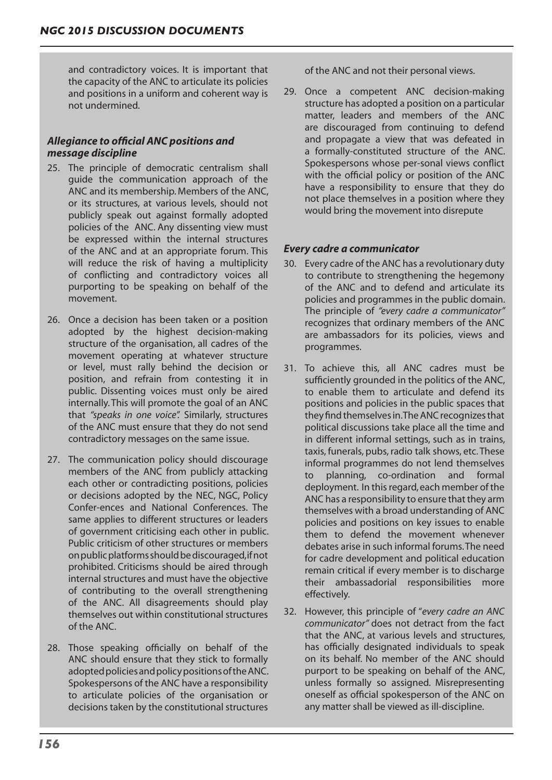and contradictory voices. It is important that the capacity of the ANC to articulate its policies and positions in a uniform and coherent way is not undermined.

#### *Allegiance to official ANC positions and message discipline*

- 25. The principle of democratic centralism shall guide the communication approach of the ANC and its membership. Members of the ANC, or its structures, at various levels, should not publicly speak out against formally adopted policies of the ANC. Any dissenting view must be expressed within the internal structures of the ANC and at an appropriate forum. This will reduce the risk of having a multiplicity of conflicting and contradictory voices all purporting to be speaking on behalf of the movement.
- 26. Once a decision has been taken or a position adopted by the highest decision-making structure of the organisation, all cadres of the movement operating at whatever structure or level, must rally behind the decision or position, and refrain from contesting it in public. Dissenting voices must only be aired internally. This will promote the goal of an ANC that *"speaks in one voice".* Similarly, structures of the ANC must ensure that they do not send contradictory messages on the same issue.
- 27. The communication policy should discourage members of the ANC from publicly attacking each other or contradicting positions, policies or decisions adopted by the NEC, NGC, Policy Confer-ences and National Conferences. The same applies to different structures or leaders of government criticising each other in public. Public criticism of other structures or members onpublicplatformsshouldbediscouraged,ifnot prohibited. Criticisms should be aired through internal structures and must have the objective of contributing to the overall strengthening of the ANC. All disagreements should play themselves out within constitutional structures of the ANC.
- 28. Those speaking officially on behalf of the ANC should ensure that they stick to formally adopted policies and policy positions of the ANC. Spokespersons of the ANC have a responsibility to articulate policies of the organisation or decisions taken by the constitutional structures

of the ANC and not their personal views.

29. Once a competent ANC decision-making structure has adopted a position on a particular matter, leaders and members of the ANC are discouraged from continuing to defend and propagate a view that was defeated in a formally-constituted structure of the ANC. Spokespersons whose per-sonal views conflict with the official policy or position of the ANC have a responsibility to ensure that they do not place themselves in a position where they would bring the movement into disrepute

#### *Every cadre a communicator*

- 30. Every cadre of the ANC has a revolutionary duty to contribute to strengthening the hegemony of the ANC and to defend and articulate its policies and programmes in the public domain. The principle of *"every cadre a communicator"*  recognizes that ordinary members of the ANC are ambassadors for its policies, views and programmes.
- 31. To achieve this, all ANC cadres must be sufficiently grounded in the politics of the ANC, to enable them to articulate and defend its positions and policies in the public spaces that they find themselves in. The ANC recognizes that political discussions take place all the time and in different informal settings, such as in trains, taxis, funerals, pubs, radio talk shows, etc. These informal programmes do not lend themselves to planning, co-ordination and formal deployment. In this regard, each member of the ANC has a responsibility to ensure that they arm themselves with a broad understanding of ANC policies and positions on key issues to enable them to defend the movement whenever debates arise in such informal forums.The need for cadre development and political education remain critical if every member is to discharge their ambassadorial responsibilities more effectively.
- 32. However, this principle of "*every cadre an ANC communicator"* does not detract from the fact that the ANC, at various levels and structures, has officially designated individuals to speak on its behalf. No member of the ANC should purport to be speaking on behalf of the ANC, unless formally so assigned. Misrepresenting oneself as official spokesperson of the ANC on any matter shall be viewed as ill-discipline.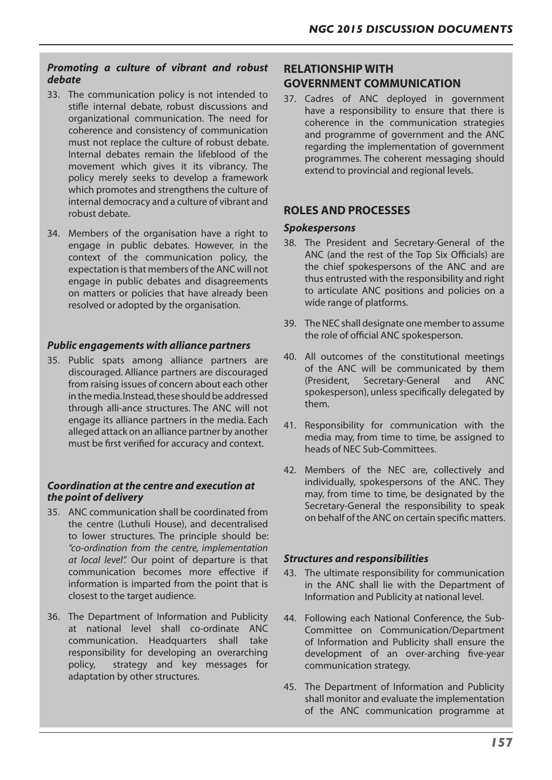#### *Promoting a culture of vibrant and robust debate*

- 33. The communication policy is not intended to stifle internal debate, robust discussions and organizational communication. The need for coherence and consistency of communication must not replace the culture of robust debate. Internal debates remain the lifeblood of the movement which gives it its vibrancy. The policy merely seeks to develop a framework which promotes and strengthens the culture of internal democracy and a culture of vibrant and robust debate.
- 34. Members of the organisation have a right to engage in public debates. However, in the context of the communication policy, the expectation isthat members of the ANC will not engage in public debates and disagreements on matters or policies that have already been resolved or adopted by the organisation.

#### *Public engagements with alliance partners*

35. Public spats among alliance partners are discouraged. Alliance partners are discouraged from raising issues of concern about each other in the media.Instead, these should be addressed through alli-ance structures. The ANC will not engage its alliance partners in the media. Each alleged attack on an alliance partner by another must be first verified for accuracy and context.

#### *Coordination at the centre and execution at the point of delivery*

- 35. ANC communication shall be coordinated from the centre (Luthuli House), and decentralised to lower structures. The principle should be: *"co-ordination from the centre, implementation at local level".* Our point of departure is that communication becomes more effective if information is imparted from the point that is closest to the target audience.
- 36. The Department of Information and Publicity at national level shall co-ordinate ANC communication. Headquarters shall take responsibility for developing an overarching policy, strategy and key messages for adaptation by other structures.

#### **RELATIONSHIP WITH GOVERNMENT COMMUNICATION**

37. Cadres of ANC deployed in government have a responsibility to ensure that there is coherence in the communication strategies and programme of government and the ANC regarding the implementation of government programmes. The coherent messaging should extend to provincial and regional levels.

#### **ROLES AND PROCESSES**

#### *Spokespersons*

- 38. The President and Secretary-General of the ANC (and the rest of the Top Six Officials) are the chief spokespersons of the ANC and are thus entrusted with the responsibility and right to articulate ANC positions and policies on a wide range of platforms.
- 39. The NEC shall designate one member to assume the role of official ANC spokesperson.
- 40. All outcomes of the constitutional meetings of the ANC will be communicated by them (President, Secretary-General and ANC spokesperson), unless specifically delegated by them.
- 41. Responsibility for communication with the media may, from time to time, be assigned to heads of NEC Sub-Committees.
- 42. Members of the NEC are, collectively and individually, spokespersons of the ANC. They may, from time to time, be designated by the Secretary-General the responsibility to speak on behalf of the ANC on certain specific matters.

#### *Structures and responsibilities*

- 43. The ultimate responsibility for communication in the ANC shall lie with the Department of Information and Publicity at national level.
- 44. Following each National Conference, the Sub-Committee on Communication/Department of Information and Publicity shall ensure the development of an over-arching five-year communication strategy.
- 45. The Department of Information and Publicity shall monitor and evaluate the implementation of the ANC communication programme at